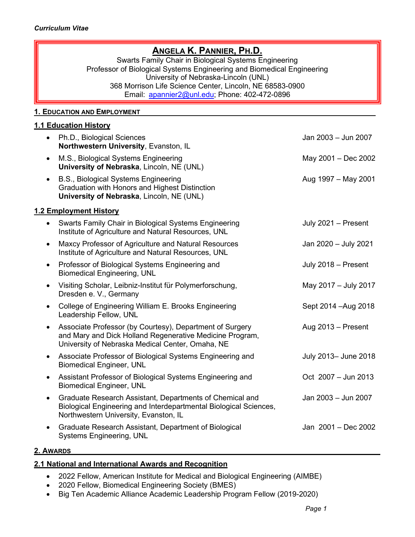# **ANGELA K. PANNIER, PH.D.**

Swarts Family Chair in Biological Systems Engineering Professor of Biological Systems Engineering and Biomedical Engineering University of Nebraska-Lincoln (UNL) 368 Morrison Life Science Center, Lincoln, NE 68583-0900 Email: [apannier2@unl.edu;](mailto:apannier2@unl.edu) Phone: 402-472-0896

### **1. EDUCATION AND EMPLOYMENT**

#### **1.1 Education History**

| $\bullet$              | Ph.D., Biological Sciences<br>Northwestern University, Evanston, IL                                                                                                      | Jan 2003 - Jun 2007  |  |  |
|------------------------|--------------------------------------------------------------------------------------------------------------------------------------------------------------------------|----------------------|--|--|
| $\bullet$              | M.S., Biological Systems Engineering<br>University of Nebraska, Lincoln, NE (UNL)                                                                                        | May 2001 - Dec 2002  |  |  |
| $\bullet$              | B.S., Biological Systems Engineering<br>Graduation with Honors and Highest Distinction<br>University of Nebraska, Lincoln, NE (UNL)                                      | Aug 1997 - May 2001  |  |  |
| 1.2 Employment History |                                                                                                                                                                          |                      |  |  |
| $\bullet$              | Swarts Family Chair in Biological Systems Engineering<br>Institute of Agriculture and Natural Resources, UNL                                                             | July 2021 - Present  |  |  |
| $\bullet$              | Maxcy Professor of Agriculture and Natural Resources<br>Institute of Agriculture and Natural Resources, UNL                                                              | Jan 2020 - July 2021 |  |  |
| $\bullet$              | Professor of Biological Systems Engineering and<br><b>Biomedical Engineering, UNL</b>                                                                                    | July 2018 - Present  |  |  |
| $\bullet$              | Visiting Scholar, Leibniz-Institut für Polymerforschung,<br>Dresden e. V., Germany                                                                                       | May 2017 - July 2017 |  |  |
| $\bullet$              | College of Engineering William E. Brooks Engineering<br>Leadership Fellow, UNL                                                                                           | Sept 2014 - Aug 2018 |  |  |
| $\bullet$              | Associate Professor (by Courtesy), Department of Surgery<br>and Mary and Dick Holland Regenerative Medicine Program,<br>University of Nebraska Medical Center, Omaha, NE | Aug $2013$ – Present |  |  |
| $\bullet$              | Associate Professor of Biological Systems Engineering and<br><b>Biomedical Engineer, UNL</b>                                                                             | July 2013- June 2018 |  |  |
| $\bullet$              | Assistant Professor of Biological Systems Engineering and<br><b>Biomedical Engineer, UNL</b>                                                                             | Oct 2007 - Jun 2013  |  |  |
| $\bullet$              | Graduate Research Assistant, Departments of Chemical and<br>Biological Engineering and Interdepartmental Biological Sciences,<br>Northwestern University, Evanston, IL   | Jan 2003 - Jun 2007  |  |  |
| $\bullet$              | Graduate Research Assistant, Department of Biological<br><b>Systems Engineering, UNL</b>                                                                                 | Jan 2001 - Dec 2002  |  |  |

#### **2. AWARDS \_\_\_\_\_\_\_**

## **2.1 National and International Awards and Recognition**

- 2022 Fellow, American Institute for Medical and Biological Engineering (AIMBE)
- 2020 Fellow, Biomedical Engineering Society (BMES)
- Big Ten Academic Alliance Academic Leadership Program Fellow (2019-2020)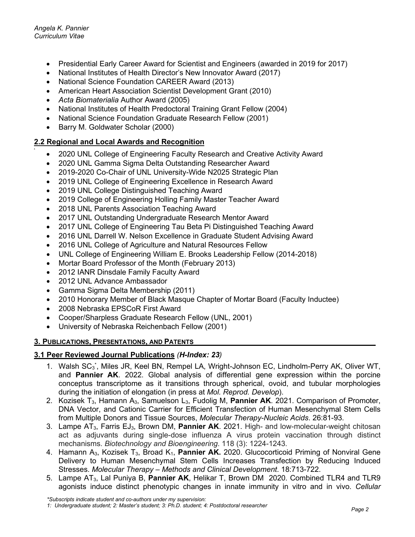- Presidential Early Career Award for Scientist and Engineers (awarded in 2019 for 2017)
- National Institutes of Health Director's New Innovator Award (2017)
- National Science Foundation CAREER Award (2013)
- American Heart Association Scientist Development Grant (2010)
- *Acta Biomaterialia* Author Award (2005)
- National Institutes of Health Predoctoral Training Grant Fellow (2004)
- National Science Foundation Graduate Research Fellow (2001)
- Barry M. Goldwater Scholar (2000)

#### **2.2 Regional and Local Awards and Recognition .**

- 2020 UNL College of Engineering Faculty Research and Creative Activity Award
- 2020 UNL Gamma Sigma Delta Outstanding Researcher Award
- 2019-2020 Co-Chair of UNL University-Wide N2025 Strategic Plan
- 2019 UNL College of Engineering Excellence in Research Award
- 2019 UNL College Distinguished Teaching Award
- 2019 College of Engineering Holling Family Master Teacher Award
- 2018 UNL Parents Association Teaching Award
- 2017 UNL Outstanding Undergraduate Research Mentor Award
- 2017 UNL College of Engineering Tau Beta Pi Distinguished Teaching Award
- 2016 UNL Darrell W. Nelson Excellence in Graduate Student Advising Award
- 2016 UNL College of Agriculture and Natural Resources Fellow
- UNL College of Engineering William E. Brooks Leadership Fellow (2014-2018)
- Mortar Board Professor of the Month (February 2013)
- 2012 IANR Dinsdale Family Faculty Award
- 2012 UNL Advance Ambassador
- Gamma Sigma Delta Membership (2011)
- 2010 Honorary Member of Black Masque Chapter of Mortar Board (Faculty Inductee)
- 2008 Nebraska EPSCoR First Award
- Cooper/Sharpless Graduate Research Fellow (UNL, 2001)
- University of Nebraska Reichenbach Fellow (2001)

### **3. PUBLICATIONS, PRESENTATIONS, AND PATENTS**

## **3.1 Peer Reviewed Journal Publications** *(H-Index: 23)*

- 1. Walsh SC<sub>3</sub><sup>\*</sup>, Miles JR, Keel BN, Rempel LA, Wright-Johnson EC, Lindholm-Perry AK, Oliver WT, and **Pannier AK**. 2022. Global analysis of differential gene expression within the porcine conceptus transcriptome as it transitions through spherical, ovoid, and tubular morphologies during the initiation of elongation (in press at *Mol. Reprod. Develop*).
- 2. Kozisek T3, Hamann A3, Samuelson L3, Fudolig M, **Pannier AK**. 2021. Comparison of Promoter, DNA Vector, and Cationic Carrier for Efficient Transfection of Human Mesenchymal Stem Cells from Multiple Donors and Tissue Sources, *Molecular Therapy-Nucleic Acids*. 26:81-93.
- 3. Lampe AT3, Farris EJ3, Brown DM, **Pannier AK**. 2021. High- and low-molecular-weight chitosan act as adjuvants during single-dose influenza A virus protein vaccination through distinct mechanisms. *Biotechnology and Bioengineering*. 118 (3): 1224-1243.
- 4. Hamann A3, Kozisek T3, Broad K1, **Pannier AK.** 2020. Glucocorticoid Priming of Nonviral Gene Delivery to Human Mesenchymal Stem Cells Increases Transfection by Reducing Induced Stresses. *Molecular Therapy – Methods and Clinical Development*. 18:713-722.
- 5. Lampe AT3, Lal Puniya B, **Pannier AK**, Helikar T, Brown DM 2020. Combined TLR4 and TLR9 agonists induce distinct phenotypic changes in innate immunity in vitro and in vivo. *Cellular*

*<sup>1:</sup> Undergraduate student; 2: Master's student; 3: Ph.D. student; 4: Postdoctoral researcher*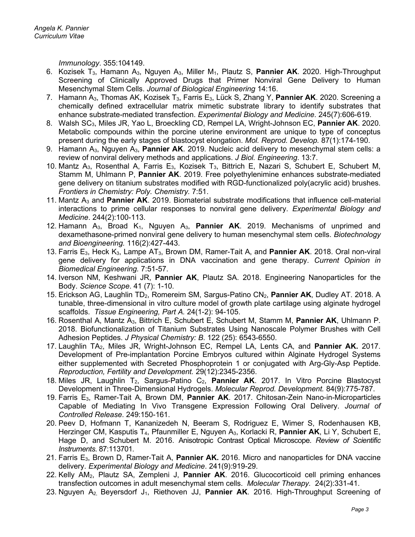*Immunology*. 355:104149.

- 6. Kozisek T3, Hamann A3, Nguyen A3, Miller M1, Plautz S, **Pannier AK**. 2020. High-Throughput Screening of Clinically Approved Drugs that Primer Nonviral Gene Delivery to Human Mesenchymal Stem Cells. *Journal of Biological Engineering* 14:16.
- 7. Hamann A3, Thomas AK, Kozisek T3, Farris E3, Lück S, Zhang Y, **Pannier AK**. 2020. Screening a chemically defined extracellular matrix mimetic substrate library to identify substrates that enhance substrate-mediated transfection. *Experimental Biology and Medicine*. 245(7):606-619.
- 8. Walsh SC3, Miles JR, Yao L, Broeckling CD, Rempel LA, Wright-Johnson EC, **Pannier AK**. 2020. Metabolic compounds within the porcine uterine environment are unique to type of conceptus present during the early stages of blastocyst elongation. *Mol. Reprod. Develop.* 87(1):174-190.
- 9. Hamann A3, Nguyen A3, **Pannier AK**. 2019. Nucleic acid delivery to mesenchymal stem cells: a review of nonviral delivery methods and applications. *J Biol. Engineering*. 13:7.
- 10. Mantz A<sub>3</sub>, Rosenthal A, Farris E<sub>3</sub>, Kozisek T<sub>3</sub>, Bittrich E, Nazari S, Schubert E, Schubert M, Stamm M, Uhlmann P, **Pannier AK**. 2019. Free polyethylenimine enhances substrate-mediated gene delivery on titanium substrates modified with RGD-functionalized poly(acrylic acid) brushes. *Frontiers in Chemistry: Poly. Chemistry.* 7:51.
- 11. Mantz A<sub>3</sub> and **Pannier AK**. 2019. Biomaterial substrate modifications that influence cell-material interactions to prime cellular responses to nonviral gene delivery. *Experimental Biology and Medicine*. 244(2):100-113.
- 12. Hamann  $A_3$ , Broad  $K_1$ , Nguyen  $A_3$ , **Pannier AK**. 2019. Mechanisms of unprimed and dexamethasone-primed nonviral gene delivery to human mesenchymal stem cells. *Biotechnology and Bioengineering.* 116(2):427-443.
- 13. Farris E3, Heck K3, Lampe AT3, Brown DM, Ramer-Tait A, and **Pannier AK**. 2018. Oral non-viral gene delivery for applications in DNA vaccination and gene therapy. *Current Opinion in Biomedical Engineering.* 7:51-57.
- 14. Iverson NM, Keshwani JR, **Pannier AK**, Plautz SA. 2018. Engineering Nanoparticles for the Body. *Science Scope*. 41 (7): 1-10.
- 15. Erickson AG, Laughlin TD<sub>2</sub>, Romereim SM, Sargus-Patino CN<sub>2</sub>, Pannier AK, Dudley AT. 2018. A tunable, three-dimensional in vitro culture model of growth plate cartilage using alginate hydrogel scaffolds. *Tissue Engineering, Part A.* 24(1-2): 94-105.
- 16. Rosenthal A, Mantz A3, Bittrich E, Schubert E, Schubert M, Stamm M, **Pannier AK**, Uhlmann P. 2018. Biofunctionalization of Titanium Substrates Using Nanoscale Polymer Brushes with Cell Adhesion Peptides. *J Physical Chemistry: B*. 122 (25): 6543-6550.
- 17. Laughlin TA2, Miles JR, Wright-Johnson EC, Rempel LA, Lents CA, and **Pannier AK.** 2017. Development of Pre-implantation Porcine Embryos cultured within Alginate Hydrogel Systems either supplemented with Secreted Phosphoprotein 1 or conjugated with Arg-Gly-Asp Peptide. *Reproduction, Fertility and Development.* 29(12):2345-2356.
- 18. Miles JR, Laughlin T<sub>2</sub>, Sargus-Patino C<sub>2</sub>, Pannier AK. 2017. In Vitro Porcine Blastocyst Development in Three-Dimensional Hydrogels. *Molecular Reprod. Development.* 84(9):775-787.
- 19. Farris E3, Ramer-Tait A, Brown DM, **Pannier AK**. 2017. Chitosan-Zein Nano-in-Microparticles Capable of Mediating In Vivo Transgene Expression Following Oral Delivery. *Journal of Controlled Release*. 249:150-161.
- 20. Peev D, Hofmann T, Kananizedeh N, Beeram S, Rodriguez E, Wimer S, Rodenhausen KB, Herzinger CM, Kasputis T4, Pfaunmiller E, Nguyen A3, Korlacki R, **Pannier AK**, Li Y, Schubert E, Hage D, and Schubert M. 2016. Anisotropic Contrast Optical Microscope. *Review of Scientific Instruments*. 87:113701.
- 21. Farris E3, Brown D, Ramer-Tait A, **Pannier AK.** 2016. Micro and nanoparticles for DNA vaccine delivery. *Experimental Biology and Medicine*. 241(9):919-29.
- 22. Kelly AM2, Plautz SA, Zempleni J, **Pannier AK**. 2016. Glucocorticoid cell priming enhances transfection outcomes in adult mesenchymal stem cells. *Molecular Therapy.* 24(2):331-41.
- 23. Nguyen A<sub>2,</sub> Beyersdorf J<sub>1</sub>, Riethoven JJ, Pannier AK. 2016. High-Throughput Screening of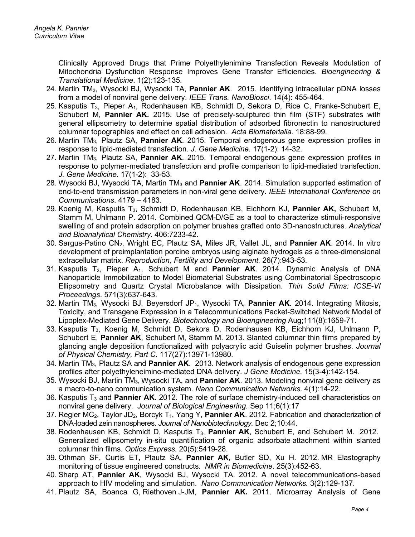Clinically Approved Drugs that Prime Polyethylenimine Transfection Reveals Modulation of Mitochondria Dysfunction Response Improves Gene Transfer Efficiencies. *Bioengineering & Translational Medicine*. 1(2):123-135.

- 24. Martin TM3, Wysocki BJ, Wysocki TA, **Pannier AK**. 2015. Identifying intracellular pDNA losses from a model of nonviral gene delivery. *IEEE Trans. NanoBiosci*. 14(4): 455-464.
- 25. Kasputis  $T_3$ , Pieper A<sub>1</sub>, Rodenhausen KB, Schmidt D, Sekora D, Rice C, Franke-Schubert E, Schubert M, **Pannier AK.** 2015. Use of precisely-sculptured thin film (STF) substrates with general ellipsometry to determine spatial distribution of adsorbed fibronectin to nanostructured columnar topographies and effect on cell adhesion. *Acta Biomaterialia.* 18:88-99.
- 26. Martin TM3, Plautz SA, **Pannier AK**. 2015. Temporal endogenous gene expression profiles in response to lipid-mediated transfection. *J. Gene Medicine.* 17(1-2): 14-32.
- 27. Martin TM3, Plautz SA, **Pannier AK**. 2015. Temporal endogenous gene expression profiles in response to polymer-mediated transfection and profile comparison to lipid-mediated transfection. *J. Gene Medicine.* 17(1-2): 33-53.
- 28. Wysocki BJ, Wysocki TA, Martin TM3 and **Pannier AK**. 2014. Simulation supported estimation of end-to-end transmission parameters in non-viral gene delivery. *IEEE International Conference on Communications*. 4179 – 4183.
- 29. Koenig M, Kasputis T3, Schmidt D, Rodenhausen KB, Eichhorn KJ, **Pannier AK,** Schubert M, Stamm M, Uhlmann P. 2014. Combined QCM-D/GE as a tool [to characterize stimuli-responsive](http://www.ncbi.nlm.nih.gov/pubmed/25240934)  [swelling of and protein adsorption on polymer brushes grafted onto 3D-nanostructures.](http://www.ncbi.nlm.nih.gov/pubmed/25240934) *Analytical and Bioanalytical Chemistry*. 406:7233-42.
- 30. Sargus-Patino CN2, Wright EC, Plautz SA, Miles JR, Vallet JL, and **Pannier AK**. 2014. In vitro development of preimplantation porcine embryos using alginate hydrogels as a three-dimensional extracellular matrix. *Reproduction, Fertility and Development.* 26(7):943-53.
- 31. Kasputis T3, Pieper A1, Schubert M and **Pannier AK**. 2014. Dynamic Analysis of DNA Nanoparticle Immobilization to Model Biomaterial Substrates using Combinatorial Spectroscopic Ellipsometry and Quartz Crystal Microbalance with Dissipation. *Thin Solid Films: ICSE-VI Proceedings*. 571(3):637-643.
- 32. Martin TM3, Wysocki BJ, Beyersdorf JP1, Wysocki TA, **Pannier AK**. 2014. Integrating Mitosis, Toxicity, and Transgene Expression in a Telecommunications Packet-Switched Network Model of Lipoplex-Mediated Gene Delivery. *Biotechnology and Bioengineering* Aug;111(8):1659-71.
- 33. Kasputis T<sub>3</sub>, Koenig M, Schmidt D, Sekora D, Rodenhausen KB, Eichhorn KJ, Uhlmann P, Schubert E, **Pannier AK**, Schubert M, Stamm M. 2013. Slanted columnar thin films prepared by glancing angle deposition functionalized with polyacrylic acid Guiselin polymer brushes. *Journal of Physical Chemistry, Part C.* 117(27):13971-13980*.*
- 34. Martin TM3, Plautz SA and **Pannier AK**. 2013. [Network analysis of endogenous gene expression](http://www.ncbi.nlm.nih.gov/pubmed/23526566)  [profiles after polyethyleneimine-mediated DNA delivery.](http://www.ncbi.nlm.nih.gov/pubmed/23526566) *J Gene Medicine.* 15(3-4):142-154.
- 35. Wysocki BJ, Martin TM3, Wysocki TA, and **Pannier AK**. 2013. Modeling nonviral gene delivery as a macro-to-nano communication system. *Nano Communication Networks.* 4(1):14-22.
- 36. Kasputis T<sub>3</sub> and **Pannier AK**. 2012. The role of surface chemistry-induced cell characteristics on nonviral gene delivery. *Journal of Biological Engineering.* Sep 11;6(1):17
- 37. Regier MC2, Taylor JD2, Borcyk T1, Yang Y, **Pannier AK**. 2012. Fabrication and characterization of DNA-loaded zein nanospheres. *Journal of Nanobiotechnology.* Dec 2;10:44.
- 38. Rodenhausen KB, Schmidt D, Kasputis T3, **Pannier AK**, Schubert E, and Schubert M. 2012. Generalized ellipsometry in-situ quantification of organic adsorbate attachment within slanted columnar thin films. *Optics Express.* 20(5):5419-28.
- 39. Othman SF, Curtis ET, Plautz SA, **Pannier AK**, Butler SD, Xu H. 2012. MR Elastography monitoring of tissue engineered constructs. *NMR in Biomedicine*. 25(3):452-63.
- 40. Sharp AT, **Pannier AK**, Wysocki BJ, Wysocki TA. 2012. A novel telecommunications-based approach to HIV modeling and simulation. *Nano Communication Networks.* 3(2):129-137.
- 41. Plautz SA, Boanca G, Riethoven J-JM, **Pannier AK.** 2011. Microarray Analysis of Gene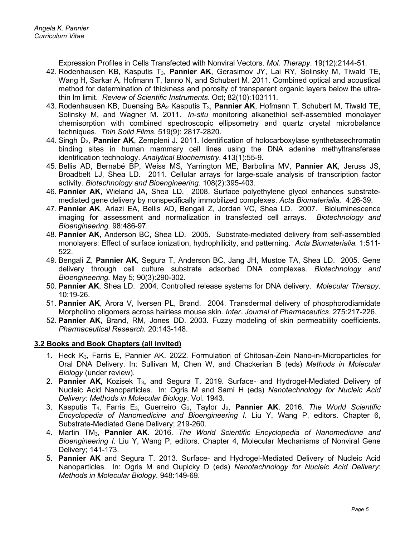Expression Profiles in Cells Transfected with Nonviral Vectors. *Mol. Therapy*. 19(12):2144-51.

- 42. Rodenhausen KB, Kasputis T<sub>3</sub>, Pannier AK, Gerasimov JY, Lai RY, Solinsky M, Tiwald TE, Wang H, Sarkar A, Hofmann T, Ianno N, and Schubert M. 2011. Combined optical and acoustical method for determination of thickness and porosity of transparent organic layers below the ultrathin lm limit. *Review of Scientific Instruments*. Oct; 82(10):103111.
- 43. Rodenhausen KB, Duensing BA2 Kasputis T3, **Pannier AK**, Hofmann T, Schubert M, Tiwald TE, Solinsky M, and Wagner M. 2011. *In-situ* monitoring alkanethiol self-assembled monolayer chemisorption with combined spectroscopic ellipsometry and quartz crystal microbalance techniques. *Thin Solid Films*. 519(9): 2817-2820.
- 44. Singh D2, **Pannier AK**, Zempleni J**.** 2011. Identification of holocarboxylase synthetasechromatin binding sites in human mammary cell lines using the DNA adenine methyltransferase identification technology. *Analytical Biochemistry*. 413(1):55-9.
- 45. [Bellis AD,](http://www.ncbi.nlm.nih.gov/pubmed?term=%22Bellis%20AD%22%5BAuthor%5D) [Bernabé BP,](http://www.ncbi.nlm.nih.gov/pubmed?term=%22Bernab%C3%A9%20BP%22%5BAuthor%5D) [Weiss MS,](http://www.ncbi.nlm.nih.gov/pubmed?term=%22Weiss%20MS%22%5BAuthor%5D) [Yarrington ME,](http://www.ncbi.nlm.nih.gov/pubmed?term=%22Yarrington%20ME%22%5BAuthor%5D) [Barbolina MV,](http://www.ncbi.nlm.nih.gov/pubmed?term=%22Barbolina%20MV%22%5BAuthor%5D) **[Pannier AK](http://www.ncbi.nlm.nih.gov/pubmed?term=%22Pannier%20AK%22%5BAuthor%5D)**, [Jeruss JS,](http://www.ncbi.nlm.nih.gov/pubmed?term=%22Jeruss%20JS%22%5BAuthor%5D) [Broadbelt](http://www.ncbi.nlm.nih.gov/pubmed?term=%22Broadbelt%20LJ%22%5BAuthor%5D) LJ, [Shea LD.](http://www.ncbi.nlm.nih.gov/pubmed?term=%22Shea%20LD%22%5BAuthor%5D) 2011. Cellular arrays for large-scale analysis of transcription factor activity. *Biotechnology and Bioengineering.* 108(2):395-403.
- 46. **Pannier AK**, Wieland JA, Shea LD. 2008. Surface polyethylene glycol enhances substratemediated gene delivery by nonspecifically immobilized complexes. *Acta Biomaterialia.* 4:26-39.
- 47. **Pannier AK**, Ariazi EA, Bellis AD, Bengali Z, Jordan VC, Shea LD. 2007. Bioluminescence imaging for assessment and normalization in transfected cell arrays. *Biotechnology and Bioengineering.* 98:486-97.
- 48. **Pannier AK**, Anderson BC, Shea LD. 2005. Substrate-mediated delivery from self-assembled monolayers: Effect of surface ionization, hydrophilicity, and patterning. *Acta Biomaterialia.* 1:511- 522.
- 49. Bengali Z, **Pannier AK**, Segura T, Anderson BC, Jang JH, Mustoe TA, Shea LD. 2005. Gene delivery through cell culture substrate adsorbed DNA complexes. *Biotechnology and Bioengineering.* May 5; 90(3):290-302.
- 50. **Pannier AK**, Shea LD. 2004. Controlled release systems for DNA delivery. *Molecular Therapy*. 10:19-26.
- 51. **Pannier AK**, Arora V, Iversen PL, Brand. 2004. Transdermal delivery of phosphorodiamidate Morpholino oligomers across hairless mouse skin*. Inter. Journal of Pharmaceutics*. 275:217-226.
- 52. **Pannier AK**, Brand, RM, Jones DD. 2003. Fuzzy modeling of skin permeability coefficients. *Pharmaceutical Research.* 20:143-148.

#### **3.2 Books and Book Chapters (all invited)**

- 1. Heck K<sub>3</sub>, Farris E, Pannier AK. 2022. Formulation of Chitosan-Zein Nano-in-Microparticles for Oral DNA Delivery. In: Sullivan M, Chen W, and Chackerian B (eds) *Methods in Molecular Biology* (under review).
- 2. **Pannier AK,** Kozisek T3**,** and Segura T. 2019. Surface- and Hydrogel-Mediated Delivery of Nucleic Acid Nanoparticles. In: Ogris M and Sami H (eds) *Nanotechnology for Nucleic Acid Delivery*: *Methods in Molecular Biology*. Vol. 1943.
- 3. Kasputis T4, Farris E3, Guerreiro G3, Taylor J2, **Pannier AK**. 2016. *The World Scientific Encyclopedia of Nanomedicine and Bioengineering I*. Liu Y, Wang P, editors. Chapter 6, Substrate-Mediated Gene Delivery; 219-260.
- 4. Martin TM3, **Pannier AK**. 2016. *The World Scientific Encyclopedia of Nanomedicine and Bioengineering I*. Liu Y, Wang P, editors. Chapter 4, Molecular Mechanisms of Nonviral Gene Delivery; 141-173.
- 5. **Pannier AK** and Segura T. 2013. Surface- and Hydrogel-Mediated Delivery of Nucleic Acid Nanoparticles. In: Ogris M and Oupicky D (eds) *Nanotechnology for Nucleic Acid Delivery*: *Methods in Molecular Biology*. 948:149-69.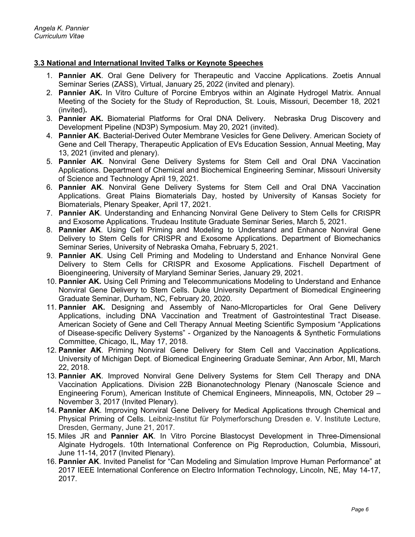### **3.3 National and International Invited Talks or Keynote Speeches**

- 1. **Pannier AK**. Oral Gene Delivery for Therapeutic and Vaccine Applications. Zoetis Annual Seminar Series (ZASS), Virtual, January 25, 2022 (invited and plenary).
- 2. **Pannier AK.** In Vitro Culture of Porcine Embryos within an Alginate Hydrogel Matrix. Annual Meeting of the Society for the Study of Reproduction, St. Louis, Missouri, December 18, 2021 (invited)**.**
- 3. **Pannier AK.** Biomaterial Platforms for Oral DNA Delivery. Nebraska Drug Discovery and Development Pipeline (ND3P) Symposium. May 20, 2021 (invited).
- 4. **Pannier AK**. Bacterial-Derived Outer Membrane Vesicles for Gene Delivery. American Society of Gene and Cell Therapy, Therapeutic Application of EVs Education Session, Annual Meeting, May 13, 2021 (invited and plenary).
- 5. **Pannier AK**. Nonviral Gene Delivery Systems for Stem Cell and Oral DNA Vaccination Applications. Department of Chemical and Biochemical Engineering Seminar, Missouri University of Science and Technology April 19, 2021.
- 6. **Pannier AK**. Nonviral Gene Delivery Systems for Stem Cell and Oral DNA Vaccination Applications. Great Plains Biomaterials Day, hosted by University of Kansas Society for Biomaterials, Plenary Speaker, April 17, 2021.
- 7. **Pannier AK**. Understanding and Enhancing Nonviral Gene Delivery to Stem Cells for CRISPR and Exosome Applications. Trudeau Institute Graduate Seminar Series, March 5, 2021.
- 8. **Pannier AK**. Using Cell Priming and Modeling to Understand and Enhance Nonviral Gene Delivery to Stem Cells for CRISPR and Exosome Applications. Department of Biomechanics Seminar Series, University of Nebraska Omaha, February 5, 2021.
- 9. **Pannier AK**. Using Cell Priming and Modeling to Understand and Enhance Nonviral Gene Delivery to Stem Cells for CRISPR and Exosome Applications. Fischell Department of Bioengineering, University of Maryland Seminar Series, January 29, 2021.
- 10. **Pannier AK.** Using Cell Priming and Telecommunications Modeling to Understand and Enhance Nonviral Gene Delivery to Stem Cells. Duke University Department of Biomedical Engineering Graduate Seminar, Durham, NC, February 20, 2020.
- 11. **Pannier AK.** Designing and Assembly of Nano-MIcroparticles for Oral Gene Delivery Applications, including DNA Vaccination and Treatment of Gastrointestinal Tract Disease. American Society of Gene and Cell Therapy Annual Meeting Scientific Symposium "Applications of Disease-specific Delivery Systems" - Organized by the Nanoagents & Synthetic Formulations Committee, Chicago, IL, May 17, 2018.
- 12. **Pannier AK**. Priming Nonviral Gene Delivery for Stem Cell and Vaccination Applications. University of Michigan Dept. of Biomedical Engineering Graduate Seminar, Ann Arbor, MI, March 22, 2018.
- 13. **Pannier AK**. Improved Nonviral Gene Delivery Systems for Stem Cell Therapy and DNA Vaccination Applications. Division 22B Bionanotechnology Plenary (Nanoscale Science and Engineering Forum), American Institute of Chemical Engineers, Minneapolis, MN, October 29 – November 3, 2017 (Invited Plenary).
- 14. **Pannier AK**. Improving Nonviral Gene Delivery for Medical Applications through Chemical and Physical Priming of Cells. Leibniz-Institut für Polymerforschung Dresden e. V. Institute Lecture, Dresden, Germany, June 21, 2017.
- 15. Miles JR and **Pannier AK**. In Vitro Porcine Blastocyst Development in Three-Dimensional Alginate Hydrogels. 10th International Conference on Pig Reproduction, Columbia, Missouri, June 11-14, 2017 (Invited Plenary).
- 16. **Pannier AK**. Invited Panelist for "Can Modeling and Simulation Improve Human Performance" at 2017 IEEE International Conference on Electro Information Technology, Lincoln, NE, May 14-17, 2017.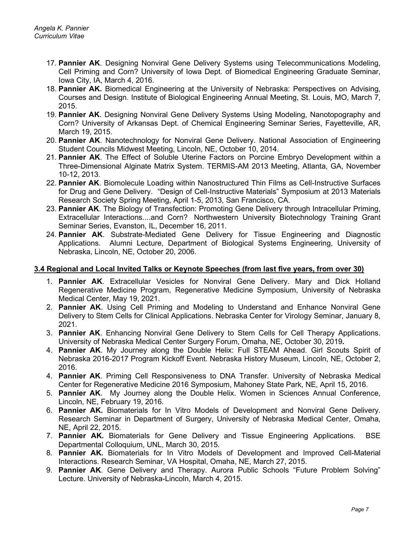- 17. **Pannier AK**. Designing Nonviral Gene Delivery Systems using Telecommunications Modeling, Cell Priming and Corn? University of Iowa Dept. of Biomedical Engineering Graduate Seminar, Iowa City, IA, March 4, 2016.
- 18. **Pannier AK.** Biomedical Engineering at the University of Nebraska: Perspectives on Advising, Courses and Design. Institute of Biological Engineering Annual Meeting, St. Louis, MO, March 7, 2015.
- 19. **Pannier AK**. Designing Nonviral Gene Delivery Systems Using Modeling, Nanotopography and Corn? University of Arkansas Dept. of Chemical Engineering Seminar Series, Fayetteville, AR, March 19, 2015.
- 20. **Pannier AK**. Nanotechnology for Nonviral Gene Delivery. National Association of Engineering Student Councils Midwest Meeting, Lincoln, NE, October 10, 2014.
- 21. **Pannier AK**. The Effect of Soluble Uterine Factors on Porcine Embryo Development within a Three-Dimensional Alginate Matrix System. TERMIS-AM 2013 Meeting, Atlanta, GA, November 10-12, 2013.
- 22. **Pannier AK**. Biomolecule Loading within Nanostructured Thin Films as Cell-Instructive Surfaces for Drug and Gene Delivery. "Design of Cell-Instructive Materials" Symposium at 2013 Materials Research Society Spring Meeting, April 1-5, 2013, San Francisco, CA.
- 23. **Pannier AK**. The Biology of Transfection: Promoting Gene Delivery through Intracellular Priming, Extracellular Interactions....and Corn? Northwestern University Biotechnology Training Grant Seminar Series, Evanston, IL, December 16, 2011.
- 24. **Pannier AK**. Substrate-Mediated Gene Delivery for Tissue Engineering and Diagnostic Applications. Alumni Lecture, Department of Biological Systems Engineering, University of Nebraska, Lincoln, NE, October 20, 2006.

#### **3.4 Regional and Local Invited Talks or Keynote Speeches (from last five years, from over 30)**

- 1. **Pannier AK**. Extracellular Vesicles for Nonviral Gene Delivery. Mary and Dick Holland Regenerative Medicine Program, Regenerative Medicine Symposium, University of Nebraska Medical Center, May 19, 2021.
- 2. **Pannier AK**. Using Cell Priming and Modeling to Understand and Enhance Nonviral Gene Delivery to Stem Cells for Clinical Applications. Nebraska Center for Virology Seminar, January 8, 2021.
- 3. **Pannier AK**. Enhancing Nonviral Gene Delivery to Stem Cells for Cell Therapy Applications. University of Nebraska Medical Center Surgery Forum, Omaha, NE, October 30, 2019**.**
- 4. **Pannier AK**. My Journey along the Double Helix: Full STEAM Ahead. Girl Scouts Spirit of Nebraska 2016-2017 Program Kickoff Event. Nebraska History Museum, Lincoln, NE, October 2, 2016.
- 4. **Pannier AK**. Priming Cell Responsiveness to DNA Transfer. University of Nebraska Medical Center for Regenerative Medicine 2016 Symposium, Mahoney State Park, NE, April 15, 2016.
- 5. **Pannier AK**. My Journey along the Double Helix. Women in Sciences Annual Conference, Lincoln, NE, February 19, 2016.
- 6. **Pannier AK.** Biomaterials for In Vitro Models of Development and Nonviral Gene Delivery. Research Seminar in Department of Surgery, University of Nebraska Medical Center, Omaha, NE, April 22, 2015.
- 7. **Pannier AK.** Biomaterials for Gene Delivery and Tissue Engineering Applications. BSE Departmental Colloquium, UNL, March 30, 2015.
- 8. **Pannier AK.** Biomaterials for In Vitro Models of Development and Improved Cell-Material Interactions. Research Seminar, VA Hospital, Omaha, NE, March 27, 2015.
- 9. **Pannier AK**. Gene Delivery and Therapy. Aurora Public Schools "Future Problem Solving" Lecture. University of Nebraska-Lincoln, March 4, 2015.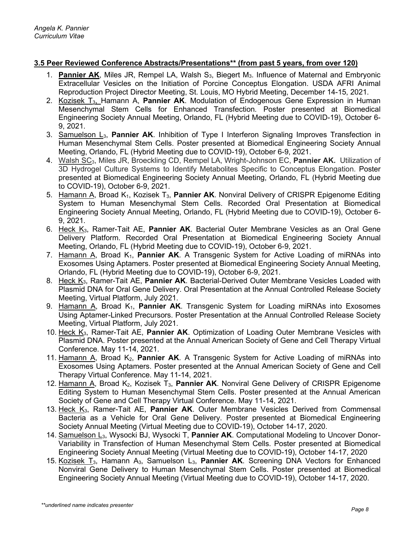### **3.5 Peer Reviewed Conference Abstracts/Presentations\*\* (from past 5 years, from over 120)**

- 1. **Pannier AK**, Miles JR, Rempel LA, Walsh S<sub>3</sub>, Biegert M<sub>3</sub>. Influence of Maternal and Embryonic Extracellular Vesicles on the Initiation of Porcine Conceptus Elongation. USDA AFRI Animal Reproduction Project Director Meeting, St. Louis, MO Hybrid Meeting, December 14-15, 2021.
- 2. Kozisek T3, Hamann A, **Pannier AK**. Modulation of Endogenous Gene Expression in Human Mesenchymal Stem Cells for Enhanced Transfection. Poster presented at Biomedical Engineering Society Annual Meeting, Orlando, FL (Hybrid Meeting due to COVID-19), October 6- 9, 2021.
- 3. Samuelson L3, **Pannier AK**. Inhibition of Type I Interferon Signaling Improves Transfection in Human Mesenchymal Stem Cells. Poster presented at Biomedical Engineering Society Annual Meeting, Orlando, FL (Hybrid Meeting due to COVID-19), October 6-9, 2021.
- 4. Walsh SC3, Miles JR, Broeckling CD, Rempel LA, Wright-Johnson EC, **Pannier AK.** Utilization of 3D Hydrogel Culture Systems to Identify Metabolites Specific to Conceptus Elongation. Poster presented at Biomedical Engineering Society Annual Meeting, Orlando, FL (Hybrid Meeting due to COVID-19), October 6-9, 2021.
- 5. Hamann A, Broad K1, Kozisek T3, **Pannier AK**. Nonviral Delivery of CRISPR Epigenome Editing System to Human Mesenchymal Stem Cells. Recorded Oral Presentation at Biomedical Engineering Society Annual Meeting, Orlando, FL (Hybrid Meeting due to COVID-19), October 6- 9, 2021.
- 6. Heck K3, Ramer-Tait AE, **Pannier AK**. Bacterial Outer Membrane Vesicles as an Oral Gene Delivery Platform. Recorded Oral Presentation at Biomedical Engineering Society Annual Meeting, Orlando, FL (Hybrid Meeting due to COVID-19), October 6-9, 2021.
- 7. Hamann A, Broad K<sub>1</sub>, Pannier AK. A Transgenic System for Active Loading of miRNAs into Exosomes Using Aptamers. Poster presented at Biomedical Engineering Society Annual Meeting, Orlando, FL (Hybrid Meeting due to COVID-19), October 6-9, 2021.
- 8. Heck K3, Ramer-Tait AE, **Pannier AK**. Bacterial-Derived Outer Membrane Vesicles Loaded with Plasmid DNA for Oral Gene Delivery. Oral Presentation at the Annual Controlled Release Society Meeting, Virtual Platform, July 2021.
- 9. Hamann A, Broad K<sub>1</sub>, Pannier AK. Transgenic System for Loading miRNAs into Exosomes Using Aptamer-Linked Precursors. Poster Presentation at the Annual Controlled Release Society Meeting, Virtual Platform, July 2021.
- 10. Heck K<sub>3</sub>, Ramer-Tait AE, Pannier AK. Optimization of Loading Outer Membrane Vesicles with Plasmid DNA. Poster presented at the Annual American Society of Gene and Cell Therapy Virtual Conference. May 11-14, 2021.
- 11. Hamann A, Broad K2, **Pannier AK**. A Transgenic System for Active Loading of miRNAs into Exosomes Using Aptamers. Poster presented at the Annual American Society of Gene and Cell Therapy Virtual Conference. May 11-14, 2021.
- 12. Hamann A, Broad K<sub>2</sub>, Kozisek T<sub>3</sub>, Pannier AK. Nonviral Gene Delivery of CRISPR Epigenome Editing System to Human Mesenchymal Stem Cells. Poster presented at the Annual American Society of Gene and Cell Therapy Virtual Conference. May 11-14, 2021.
- 13. Heck K3, Ramer-Tait AE, **Pannier AK**. Outer Membrane Vesicles Derived from Commensal Bacteria as a Vehicle for Oral Gene Delivery. Poster presented at Biomedical Engineering Society Annual Meeting (Virtual Meeting due to COVID-19), October 14-17, 2020.
- 14. Samuelson L<sub>3</sub>, Wysocki BJ, Wysocki T, **Pannier AK**. Computational Modeling to Uncover Donor-Variability in Transfection of Human Mesenchymal Stem Cells. Poster presented at Biomedical Engineering Society Annual Meeting (Virtual Meeting due to COVID-19), October 14-17, 2020
- 15. Kozisek T3, Hamann A3, Samuelson L3, **Pannier AK**. Screening DNA Vectors for Enhanced Nonviral Gene Delivery to Human Mesenchymal Stem Cells. Poster presented at Biomedical Engineering Society Annual Meeting (Virtual Meeting due to COVID-19), October 14-17, 2020.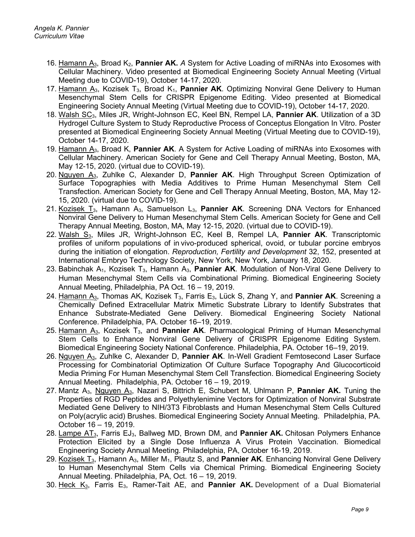- 16. Hamann A3, Broad K2, **Pannier AK.** *A* System for Active Loading of miRNAs into Exosomes with Cellular Machinery. Video presented at Biomedical Engineering Society Annual Meeting (Virtual Meeting due to COVID-19), October 14-17, 2020.
- 17. Hamann A<sub>3</sub>, Kozisek T<sub>3</sub>, Broad K<sub>1</sub>, **Pannier AK**. Optimizing Nonviral Gene Delivery to Human Mesenchymal Stem Cells for CRISPR Epigenome Editing. Video presented at Biomedical Engineering Society Annual Meeting (Virtual Meeting due to COVID-19), October 14-17, 2020.
- 18. Walsh SC3, Miles JR, Wright-Johnson EC, Keel BN, Rempel LA, **Pannier AK**. Utilization of a 3D Hydrogel Culture System to Study Reproductive Process of Conceptus Elongation In Vitro. Poster presented at Biomedical Engineering Society Annual Meeting (Virtual Meeting due to COVID-19), October 14-17, 2020.
- 19. Hamann A3, Broad K, **Pannier AK**. A System for Active Loading of miRNAs into Exosomes with Cellular Machinery. American Society for Gene and Cell Therapy Annual Meeting, Boston, MA, May 12-15, 2020. (virtual due to COVID-19).
- 20. Nguyen A3, Zuhlke C, Alexander D, **Pannier AK**. High Throughput Screen Optimization of Surface Topographies with Media Additives to Prime Human Mesenchymal Stem Cell Transfection. American Society for Gene and Cell Therapy Annual Meeting, Boston, MA, May 12- 15, 2020. (virtual due to COVID-19).
- 21. Kozisek T3, Hamann A3, Samuelson L3, **Pannier AK**. Screening DNA Vectors for Enhanced Nonviral Gene Delivery to Human Mesenchymal Stem Cells. American Society for Gene and Cell Therapy Annual Meeting, Boston, MA, May 12-15, 2020. (virtual due to COVID-19).
- 22. Walsh S3, Miles JR, Wright-Johnson EC, Keel B, Rempel LA, **Pannier AK**. Transcriptomic profiles of uniform populations of in vivo-produced spherical, ovoid, or tubular porcine embryos during the initiation of elongation. *Reproduction, Fertility and Development* 32, 152, presented at International Embryo Technology Society, New York, New York, January 18, 2020.
- 23. Babinchak A<sub>1</sub>, Kozisek T<sub>3</sub>, Hamann A<sub>3</sub>, **Pannier AK**. Modulation of Non-Viral Gene Delivery to Human Mesenchymal Stem Cells via Combinational Priming. Biomedical Engineering Society Annual Meeting, Philadelphia, PA Oct. 16 – 19, 2019.
- 24. Hamann A3, Thomas AK, Kozisek T3, Farris E3, Lück S, Zhang Y, and **Pannier AK**. Screening a Chemically Defined Extracellular Matrix Mimetic Substrate Library to Identify Substrates that Enhance Substrate-Mediated Gene Delivery. Biomedical Engineering Society National Conference. Philadelphia, PA. October 16–19, 2019.
- 25. Hamann A3, Kozisek T3, and **Pannier AK**. Pharmacological Priming of Human Mesenchymal Stem Cells to Enhance Nonviral Gene Delivery of CRISPR Epigenome Editing System. Biomedical Engineering Society National Conference. Philadelphia, PA. October 16–19, 2019.
- 26. Nguyen A3, Zuhlke C, Alexander D, **Pannier AK**. In-Well Gradient Femtosecond Laser Surface Processing for Combinatorial Optimization Of Culture Surface Topography And Glucocorticoid Media Priming For Human Mesenchymal Stem Cell Transfection. Biomedical Engineering Society Annual Meeting. Philadelphia, PA. October 16 – 19, 2019.
- 27. Mantz A3, Nguyen A3, Nazari S, Bittrich E, Schubert M, Uhlmann P, **Pannier AK.** Tuning the Properties of RGD Peptides and Polyethylenimine Vectors for Optimization of Nonviral Substrate Mediated Gene Delivery to NIH/3T3 Fibroblasts and Human Mesenchymal Stem Cells Cultured on Poly(acrylic acid) Brushes. Biomedical Engineering Society Annual Meeting. Philadelphia, PA. October 16 – 19, 2019.
- 28. Lampe AT3, Farris EJ3, Ballweg MD, Brown DM, and **Pannier AK.** Chitosan Polymers Enhance Protection Elicited by a Single Dose Influenza A Virus Protein Vaccination. Biomedical Engineering Society Annual Meeting. Philadelphia, PA, October 16-19, 2019.
- 29. Kozisek T3, Hamann A3, Miller M1, Plautz S, and **Pannier AK**. Enhancing Nonviral Gene Delivery to Human Mesenchymal Stem Cells via Chemical Priming. Biomedical Engineering Society Annual Meeting. Philadelphia, PA, Oct. 16 – 19, 2019.
- 30. Heck K3, Farris E3, Ramer-Tait AE, and **Pannier AK.** Development of a Dual Biomaterial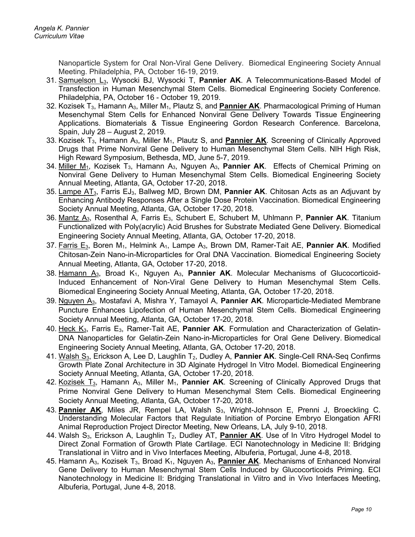Nanoparticle System for Oral Non-Viral Gene Delivery. Biomedical Engineering Society Annual Meeting. Philadelphia, PA, October 16-19, 2019.

- 31. Samuelson L3, Wysocki BJ, Wysocki T, **Pannier AK**. A Telecommunications-Based Model of Transfection in Human Mesenchymal Stem Cells. Biomedical Engineering Society Conference. Philadelphia, PA, October 16 - October 19, 2019.
- 32. Kozisek T3, Hamann A3, Miller M1, Plautz S, and **Pannier AK**. Pharmacological Priming of Human Mesenchymal Stem Cells for Enhanced Nonviral Gene Delivery Towards Tissue Engineering Applications. Biomaterials & Tissue Engineering Gordon Research Conference. Barcelona, Spain, July 28 – August 2, 2019.
- 33. Kozisek T3, Hamann A3, Miller M1, Plautz S, and **Pannier AK**. Screening of Clinically Approved Drugs that Prime Nonviral Gene Delivery to Human Mesenchymal Stem Cells. NIH High Risk, High Reward Symposium, Bethesda, MD, June 5-7, 2019.
- 34. Miller M1, Kozisek T3, Hamann A3, Nguyen A3, **Pannier AK**. Effects of Chemical Priming on Nonviral Gene Delivery to Human Mesenchymal Stem Cells. Biomedical Engineering Society Annual Meeting, Atlanta, GA, October 17-20, 2018.
- 35. Lampe AT3, Farris EJ3, Ballweg MD, Brown DM, **Pannier AK**. Chitosan Acts as an Adjuvant by Enhancing Antibody Responses After a Single Dose Protein Vaccination. Biomedical Engineering Society Annual Meeting, Atlanta, GA, October 17-20, 2018.
- 36. Mantz A3, Rosenthal A, Farris E3, Schubert E, Schubert M, Uhlmann P, **Pannier AK**. Titanium Functionalized with Poly(acrylic) Acid Brushes for Substrate Mediated Gene Delivery. Biomedical Engineering Society Annual Meeting, Atlanta, GA, October 17-20, 2018.
- 37. Farris E<sub>3</sub>, Boren M<sub>1</sub>, Helmink A<sub>1</sub>, Lampe A<sub>3</sub>, Brown DM, Ramer-Tait AE, Pannier AK. Modified Chitosan-Zein Nano-in-Microparticles for Oral DNA Vaccination. Biomedical Engineering Society Annual Meeting, Atlanta, GA, October 17-20, 2018.
- 38. Hamann  $A_3$ , Broad  $K_1$ , Nguyen  $A_3$ , **Pannier AK**. Molecular Mechanisms of Glucocorticoid-Induced Enhancement of Non-Viral Gene Delivery to Human Mesenchymal Stem Cells. Biomedical Engineering Society Annual Meeting, Atlanta, GA, October 17-20, 2018.
- 39. Nguyen A3, Mostafavi A, Mishra Y, Tamayol A, **Pannier AK**. Microparticle-Mediated Membrane Puncture Enhances Lipofection of Human Mesenchymal Stem Cells. Biomedical Engineering Society Annual Meeting, Atlanta, GA, October 17-20, 2018.
- 40. Heck K3, Farris E3, Ramer-Tait AE, **Pannier AK**. Formulation and Characterization of Gelatin-DNA Nanoparticles for Gelatin-Zein Nano-in-Microparticles for Oral Gene Delivery. Biomedical Engineering Society Annual Meeting, Atlanta, GA, October 17-20, 2018.
- 41. Walsh S<sub>3</sub>, Erickson A, Lee D, Laughlin T<sub>2</sub>, Dudley A, **Pannier AK**. Single-Cell RNA-Seq Confirms Growth Plate Zonal Architecture in 3D Alginate Hydrogel In Vitro Model. Biomedical Engineering Society Annual Meeting, Atlanta, GA, October 17-20, 2018.
- 42. Kozisek T<sub>3</sub>, Hamann A<sub>3</sub>, Miller M<sub>1</sub>, **Pannier AK**. Screening of Clinically Approved Drugs that Prime Nonviral Gene Delivery to Human Mesenchymal Stem Cells. Biomedical Engineering Society Annual Meeting, Atlanta, GA, October 17-20, 2018.
- 43. **Pannier AK**, Miles JR, Rempel LA, Walsh S<sub>3</sub>, Wright-Johnson E, Prenni J, Broeckling C. Understanding Molecular Factors that Regulate Initiation of Porcine Embryo Elongation AFRI Animal Reproduction Project Director Meeting, New Orleans, LA, July 9-10, 2018.
- 44. Walsh S3, Erickson A, Laughlin T2, Dudley AT, **Pannier AK**. Use of In Vitro Hydrogel Model to Direct Zonal Formation of Growth Plate Cartilage. ECI [Nanotechnology in Medicine](https://urldefense.proofpoint.com/v2/url?u=http-3A__www.engconf.org_past-2Dconferences_nanotechnology-2Din-2Dmedicine-2Dii-2Dbridging-2Dtranslational-2Din-2Dvitro-2Dand-2Din-2Dvivo-2Dinterfaces_&d=DwMFAg&c=Cu5g146wZdoqVuKpTNsYHeFX_rg6kWhlkLF8Eft-wwo&r=I1oIPEjmjzVInTce2QwTWLRCg2mdIakUIcPrk3Q8tZA&m=uZ_VsFAxuD2cRV1K3Myrt8Fwv8O4Ynr2bvSE32LOFvo&s=H3RO6P9so0lSyropNwiwq9mmlOr9YE56teWT5YEnQiw&e=) II: Bridging [Translational in Viitro and](https://urldefense.proofpoint.com/v2/url?u=http-3A__www.engconf.org_past-2Dconferences_nanotechnology-2Din-2Dmedicine-2Dii-2Dbridging-2Dtranslational-2Din-2Dvitro-2Dand-2Din-2Dvivo-2Dinterfaces_&d=DwMFAg&c=Cu5g146wZdoqVuKpTNsYHeFX_rg6kWhlkLF8Eft-wwo&r=I1oIPEjmjzVInTce2QwTWLRCg2mdIakUIcPrk3Q8tZA&m=uZ_VsFAxuD2cRV1K3Myrt8Fwv8O4Ynr2bvSE32LOFvo&s=H3RO6P9so0lSyropNwiwq9mmlOr9YE56teWT5YEnQiw&e=) in Vivo Interfaces Meeting, Albuferia, Portugal, June 4-8, 2018.
- 45. Hamann A<sub>3</sub>, Kozisek T<sub>3</sub>, Broad K<sub>1</sub>, Nguyen A<sub>3</sub>, Pannier AK. Mechanisms of Enhanced Nonviral Gene Delivery to Human Mesenchymal Stem Cells Induced by Glucocorticoids Priming. ECI Nanotechnology in Medicine [II: Bridging Translational in Viitro and in Vivo Interfaces](https://urldefense.proofpoint.com/v2/url?u=http-3A__www.engconf.org_past-2Dconferences_nanotechnology-2Din-2Dmedicine-2Dii-2Dbridging-2Dtranslational-2Din-2Dvitro-2Dand-2Din-2Dvivo-2Dinterfaces_&d=DwMFAg&c=Cu5g146wZdoqVuKpTNsYHeFX_rg6kWhlkLF8Eft-wwo&r=I1oIPEjmjzVInTce2QwTWLRCg2mdIakUIcPrk3Q8tZA&m=uZ_VsFAxuD2cRV1K3Myrt8Fwv8O4Ynr2bvSE32LOFvo&s=H3RO6P9so0lSyropNwiwq9mmlOr9YE56teWT5YEnQiw&e=) Meeting, Albuferia, Portugal, June 4-8, 2018.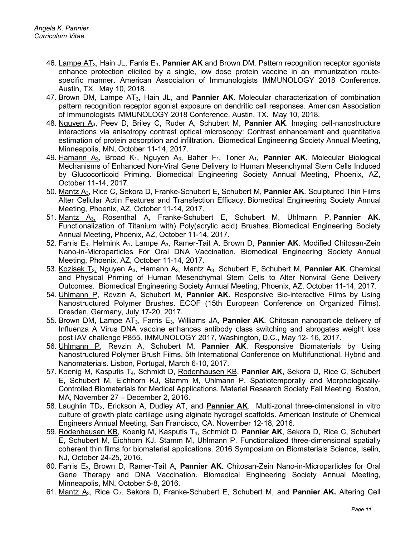- 46. Lampe AT3, Hain JL, Farris E3, **Pannier AK** and Brown DM. Pattern recognition receptor agonists enhance protection elicited by a single, low dose protein vaccine in an immunization routespecific manner. American Association of Immunologists IMMUNOLOGY 2018 Conference. Austin, TX. May 10, 2018.
- 47. Brown DM, Lampe AT3, Hain JL, and **Pannier AK**. Molecular characterization of combination pattern recognition receptor agonist exposure on dendritic cell responses. American Association of Immunologists IMMUNOLOGY 2018 Conference. Austin, TX. May 10, 2018.
- 48. Nguyen A3, Peev D, Briley C, Ruder A, Schubert M, **Pannier AK**. Imaging cell-nanostructure interactions via anisotropy contrast optical microscopy: Contrast enhancement and quantitative estimation of protein adsorption and infiltration. Biomedical Engineering Society Annual Meeting, Minneapolis, MN, October 11-14, 2017.
- 49. Hamann A<sub>3</sub>, Broad K<sub>1</sub>, Nguyen A<sub>3</sub>, Baher F<sub>1</sub>, Toner A<sub>1</sub>, **Pannier AK**. Molecular Biological Mechanisms of Enhanced Non-Viral Gene Delivery to Human Mesenchymal Stem Cells Induced by Glucocorticoid Priming. Biomedical Engineering Society Annual Meeting, Phoenix, AZ, October 11-14, 2017.
- 50. Mantz A3, Rice C, Sekora D, Franke-Schubert E, Schubert M, **Pannier AK**. Sculptured Thin Films Alter Cellular Actin Features and Transfection Efficacy. Biomedical Engineering Society Annual Meeting, Phoenix, AZ, October 11-14, 2017.
- 51. Mantz A3, Rosenthal A, Franke-Schubert E, Schubert M, Uhlmann P, **Pannier AK**. Functionalization of Titanium with) Poly(acrylic acid) Brushes. Biomedical Engineering Society Annual Meeting, Phoenix, AZ, October 11-14, 2017.
- 52. Farris E<sub>3</sub>, Helmink A<sub>1</sub>, Lampe A<sub>3</sub>, Ramer-Tait A, Brown D, Pannier AK. Modified Chitosan-Zein Nano-in-Microparticles For Oral DNA Vaccination. Biomedical Engineering Society Annual Meeting, Phoenix, AZ, October 11-14, 2017.
- 53. Kozisek T2, Nguyen A3, Hamann A3, Mantz A3, Schubert E, Schubert M, **Pannier AK**. Chemical and Physical Priming of Human Mesenchymal Stem Cells to Alter Nonviral Gene Delivery Outcomes. Biomedical Engineering Society Annual Meeting, Phoenix, AZ, October 11-14, 2017.
- 54. Uhlmann P, Revzin A, Schubert M, **Pannier AK**. Responsive Bio-interactive Films by Using Nanostructured Polymer Brushes**.** ECOF (15th European Conference on Organized Films). Dresden, Germany, July 17-20, 2017.
- 55. Brown DM, Lampe AT3, Farris E3, Williams JA, **Pannier AK**. Chitosan nanoparticle delivery of Influenza A Virus DNA vaccine enhances antibody class switching and abrogates weight loss post IAV challenge P855. IMMUNOLOGY 2017, Washington, D.C., May 12- 16, 2017.
- 56. Uhlmann P, Revzin A, Schubert M, **Pannier AK**. Responsive Biomaterials by Using Nanostructured Polymer Brush Films. 5th International Conference on Multifunctional, Hybrid and Nanomaterials. Lisbon, Portugal, March 6-10, 2017.
- 57. Koenig M, Kasputis T4, Schmidt D, Rodenhausen KB, **Pannier AK**, Sekora D, Rice C, Schubert E, Schubert M, Eichhorn KJ, Stamm M, Uhlmann P. Spatiotemporally and Morphologically-Controlled Biomaterials for Medical Applications. Material Research Society Fall Meeting. Boston, MA, November 27 – December 2, 2016.
- 58. Laughlin TD2, Erickson A, Dudley AT, and **Pannier AK**. Multi-zonal three-dimensional in vitro culture of growth plate cartilage using alginate hydrogel scaffolds. American Institute of Chemical Engineers Annual Meeting, San Francisco, CA. November 12-18, 2016.
- 59. Rodenhausen KB, Koenig M, Kasputis T4, Schmidt D, **Pannier AK**, Sekora D, Rice C, Schubert E, Schubert M, Eichhorn KJ, Stamm M, Uhlmann P. Functionalized three-dimensional spatially coherent thin films for biomaterial applications. 2016 Symposium on Biomaterials Science, Iselin, NJ, October 24-25, 2016.
- 60. Farris E3, Brown D, Ramer-Tait A, **Pannier AK**. Chitosan-Zein Nano-in-Microparticles for Oral Gene Therapy and DNA Vaccination. Biomedical Engineering Society Annual Meeting, Minneapolis, MN, October 5-8, 2016.
- 61. Mantz A<sub>3</sub>, Rice C<sub>2</sub>, Sekora D, Franke-Schubert E, Schubert M, and Pannier AK. Altering Cell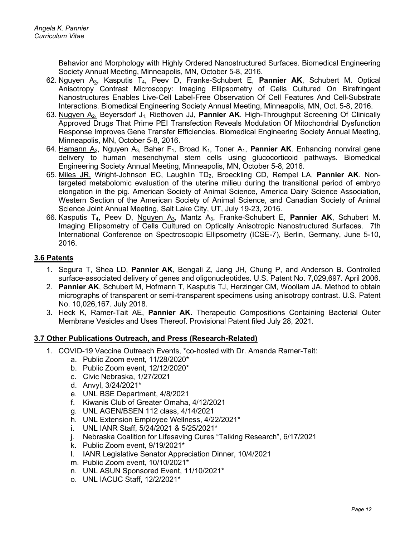Behavior and Morphology with Highly Ordered Nanostructured Surfaces. Biomedical Engineering Society Annual Meeting, Minneapolis, MN, October 5-8, 2016.

- 62. Nguyen A3, Kasputis T4, Peev D, Franke-Schubert E, **Pannier AK**, Schubert M. Optical Anisotropy Contrast Microscopy: Imaging Ellipsometry of Cells Cultured On Birefringent Nanostructures Enables Live-Cell Label-Free Observation Of Cell Features And Cell-Substrate Interactions. Biomedical Engineering Society Annual Meeting, Minneapolis, MN, Oct. 5-8, 2016.
- 63. Nugyen A2, Beyersdorf J1, Riethoven JJ, **Pannier AK**. High-Throughput Screening Of Clinically Approved Drugs That Prime PEI Transfection Reveals Modulation Of Mitochondrial Dysfunction Response Improves Gene Transfer Efficiencies. Biomedical Engineering Society Annual Meeting, Minneapolis, MN, October 5-8, 2016.
- 64. Hamann A2, Nguyen A3, Baher F1, Broad K1, Toner A1, **Pannier AK**. Enhancing nonviral gene delivery to human mesenchymal stem cells using glucocorticoid pathways. Biomedical Engineering Society Annual Meeting, Minneapolis, MN, October 5-8, 2016.
- 65. Miles JR, Wright-Johnson EC, Laughlin TD2, Broeckling CD, Rempel LA, **Pannier AK**. Nontargeted metabolomic evaluation of the uterine milieu during the transitional period of embryo elongation in the pig. American Society of Animal Science, America Dairy Science Association, Western Section of the American Society of Animal Science, and Canadian Society of Animal Science Joint Annual Meeting, Salt Lake City, UT, July 19-23, 2016.
- 66. Kasputis T4, Peev D, Nguyen A3, Mantz A3, Franke-Schubert E, **Pannier AK**, Schubert M. Imaging Ellipsometry of Cells Cultured on Optically Anisotropic Nanostructured Surfaces. 7th International Conference on Spectroscopic Ellipsometry (ICSE-7), Berlin, Germany, June 5-10, 2016.

### **3.6 Patents**

- 1. Segura T, Shea LD, **Pannier AK**, Bengali Z, Jang JH, Chung P, and Anderson B. Controlled surface-associated delivery of genes and oligonucleotides. U.S. Patent No. 7,029,697. April 2006.
- 2. **Pannier AK**, Schubert M, Hofmann T, Kasputis TJ, Herzinger CM, Woollam JA. Method to obtain micrographs of transparent or semi-transparent specimens using anisotropy contrast. U.S. Patent No. 10,026,167. July 2018.
- 3. Heck K, Ramer-Tait AE, **Pannier AK.** Therapeutic Compositions Containing Bacterial Outer Membrane Vesicles and Uses Thereof. Provisional Patent filed July 28, 2021.

### **3.7 Other Publications Outreach, and Press (Research-Related)**

- 1. COVID-19 Vaccine Outreach Events, \*co-hosted with Dr. Amanda Ramer-Tait:
	- a. Public Zoom event, 11/28/2020\*
	- b. Public Zoom event, 12/12/2020\*
	- c. Civic Nebraska, 1/27/2021
	- d. Anvyl, 3/24/2021\*
	- e. UNL BSE Department, 4/8/2021
	- f. Kiwanis Club of Greater Omaha, 4/12/2021
	- g. UNL AGEN/BSEN 112 class, 4/14/2021
	- h. UNL Extension Employee Wellness, 4/22/2021\*
	- i. UNL IANR Staff, 5/24/2021 & 5/25/2021\*
	- j. Nebraska Coalition for Lifesaving Cures "Talking Research", 6/17/2021
	- k. Public Zoom event, 9/19/2021\*
	- l. IANR Legislative Senator Appreciation Dinner, 10/4/2021
	- m. Public Zoom event, 10/10/2021\*
	- n. UNL ASUN Sponsored Event, 11/10/2021\*
	- o. UNL IACUC Staff, 12/2/2021\*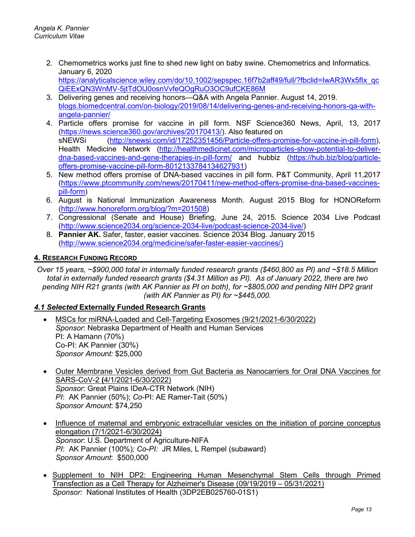- 2. Chemometrics works just fine to shed new light on baby swine. Chemometrics and Informatics. January 6, 2020 https://analyticalscience.wiley.com/do/10.1002/sepspec.16f7b2aff49/full/?fbclid=IwAR3Wx5flx\_qc [QiEExQN3WnMV-5jtTdOlJ0osnVvfeQOgRuO3OC9ufCKE86M](https://analyticalscience.wiley.com/do/10.1002/sepspec.16f7b2aff49/full/?fbclid=IwAR3Wx5fIx_qcQiEExQN3WnMV-5jtTdOlJ0osnVvfeQOgRuO3OC9ufCKE86M)
- 3. Delivering genes and receiving honors—Q&A with Angela Pannier. August 14, 2019. blogs.biomedcentral.com/on-biology/2019/08/14/delivering-genes-and-receiving-honors-qa-withangela-pannier/
- 4. Particle offers promise for vaccine in pill form. NSF Science360 News, April, 13, 2017 [\(https://news.science360.gov/archives/20170413/\)](https://news.science360.gov/archives/20170413/). Also featured on sNEWSi [\(http://snewsi.com/id/17252351456/Particle-offers-promise-for-vaccine-in-pill-form\)](http://snewsi.com/id/17252351456/Particle-offers-promise-for-vaccine-in-pill-form), Health Medicine Network [\(http://healthmedicinet.com/microparticles-show-potential-to-deliver](http://healthmedicinet.com/microparticles-show-potential-to-deliver-dna-based-vaccines-and-gene-therapies-in-pill-form/)[dna-based-vaccines-and-gene-therapies-in-pill-form/](http://healthmedicinet.com/microparticles-show-potential-to-deliver-dna-based-vaccines-and-gene-therapies-in-pill-form/) and hubbiz [\(https://hub.biz/blog/particle](https://hub.biz/blog/particle-offers-promise-vaccine-pill-form-8012133784134627931)[offers-promise-vaccine-pill-form-8012133784134627931\)](https://hub.biz/blog/particle-offers-promise-vaccine-pill-form-8012133784134627931)
- 5. New method offers promise of DNA-based vaccines in pill form. P&T Community, April 11,2017 [\(https://www.ptcommunity.com/news/20170411/new-method-offers-promise-dna-based-vaccines](https://www.ptcommunity.com/news/20170411/new-method-offers-promise-dna-based-vaccines-pill-form)[pill-form\)](https://www.ptcommunity.com/news/20170411/new-method-offers-promise-dna-based-vaccines-pill-form)
- 6. August is National Immunization Awareness Month. August 2015 Blog for HONOReform [\(http://www.honoreform.org/blog/?m=201508\)](http://www.honoreform.org/blog/?m=201508)
- 7. Congressional (Senate and House) Briefing, June 24, 2015. Science 2034 Live Podcast [\(http://www.science2034.org/science-2034-live/podcast-science-2034-live/\)](http://www.science2034.org/science-2034-live/podcast-science-2034-live/)
- 8. **Pannier AK.** Safer, faster, easier vaccines. Science 2034 Blog. January 2015 [\(http://www.science2034.org/medicine/safer-faster-easier-vaccines/\)](http://www.science2034.org/medicine/safer-faster-easier-vaccines/)

### **4. RESEARCH FUNDING RECORD**

*Over 15 years, ~\$900,000 total in internally funded research grants (\$460,800 as PI) and ~\$18.5 Million total in externally funded research grants (\$4.31 Million as PI). As of January 2022, there are two pending NIH R21 grants (with AK Pannier as PI on both), for ~\$805,000 and pending NIH DP2 grant (with AK Pannier as PI) for ~\$445,000.*

### *4.1 Selected* **Externally Funded Research Grants**

• MSCs for miRNA-Loaded and Cell-Targeting Exosomes (9/21/2021-6/30/2022) *Sponsor*: Nebraska Department of Health and Human Services PI: A Hamann (70%) Co-PI: AK Pannier (30%) *Sponsor Amou*n*t:* \$25,000

- Outer Membrane Vesicles derived from Gut Bacteria as Nanocarriers for Oral DNA Vaccines for SARS-CoV-2 **(**4/1/2021-6/30/2022) *Sponsor*: Great Plains IDeA-CTR Network (NIH) *PI*: AK Pannier (50%); *Co*-PI: AE Ramer-Tait (50%) *Sponsor Amount*: \$74,250
- Influence of maternal and embryonic extracellular vesicles on the initiation of porcine conceptus elongation (7/1/2021-6/30/2024) *Sponsor*: U.S. Department of Agriculture-NIFA *PI*: AK Pannier (100%)*; Co-PI:* JR Miles, L Rempel (subaward) *Sponsor Amount*: \$500,000
- Supplement to NIH DP2: Engineering Human Mesenchymal Stem Cells through Primed Transfection as a Cell Therapy for Alzheimer's Disease (09/19/2019 – 05/31/2021) *Sponsor:* National Institutes of Health (3DP2EB025760-01S1)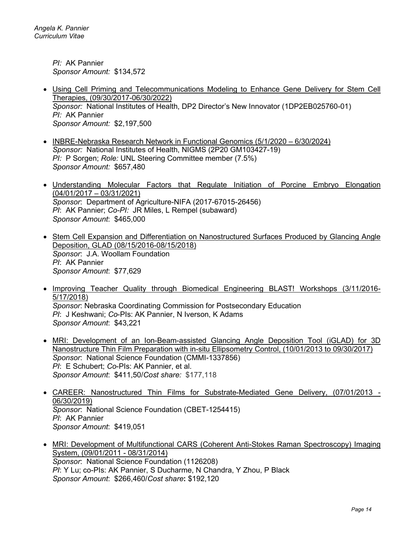*PI:* AK Pannier *Sponsor Amount:* \$134,572

- Using Cell Priming and Telecommunications Modeling to Enhance Gene Delivery for Stem Cell Therapies, (09/30/2017-06/30/2022) *Sponsor:* National Institutes of Health, DP2 Director's New Innovator (1DP2EB025760-01) *PI:* AK Pannier *Sponsor Amount:* \$2,197,500
- INBRE-Nebraska Research Network in Functional Genomics (5/1/2020 6/30/2024) *Sponsor:* National Institutes of Health, NIGMS (2P20 GM103427-19) *PI:* P Sorgen; *Role:* UNL Steering Committee member (7.5%) *Sponsor Amount:* \$657,480
- Understanding Molecular Factors that Regulate Initiation of Porcine Embryo Elongation (04/01/2017 – 03/31/2021) *Sponsor*: Department of Agriculture-NIFA (2017-67015-26456) *PI*: AK Pannier; *Co-PI:* JR Miles, L Rempel (subaward) *Sponsor Amount*: \$465,000
- Stem Cell Expansion and Differentiation on Nanostructured Surfaces Produced by Glancing Angle Deposition, GLAD (08/15/2016-08/15/2018) *Sponsor*: J.A. Woollam Foundation *PI*: AK Pannier *Sponsor Amount*: \$77,629
- Improving Teacher Quality through Biomedical Engineering BLAST! Workshops (3/11/2016- 5/17/2018) *Sponsor*: Nebraska Coordinating Commission for Postsecondary Education *PI*: J Keshwani; *Co*-PIs: AK Pannier, N Iverson, K Adams *Sponsor Amount*: \$43,221
- MRI: Development of an Ion-Beam-assisted Glancing Angle Deposition Tool (iGLAD) for 3D Nanostructure Thin Film Preparation with in-situ Ellipsometry Control, (10/01/2013 to 09/30/2017) *Sponsor*: National Science Foundation (CMMI-1337856) *PI*: E Schubert; *Co*-PIs: AK Pannier, et al. *Sponsor Amount*: \$411,50/*Cost share:* \$177,118
- CAREER: Nanostructured Thin Films for Substrate-Mediated Gene Delivery, (07/01/2013 06/30/2019) *Sponsor*: National Science Foundation (CBET-1254415) *PI*: AK Pannier *Sponsor Amount*: \$419,051
- MRI: Development of Multifunctional CARS (Coherent Anti-Stokes Raman Spectroscopy) Imaging System, (09/01/2011 - 08/31/2014) *Sponsor*: National Science Foundation (1126208) *PI*: Y Lu; co-PIs: AK Pannier, S Ducharme, N Chandra, Y Zhou, P Black *Sponsor Amount*: \$266,460/*Cost share***:** \$192,120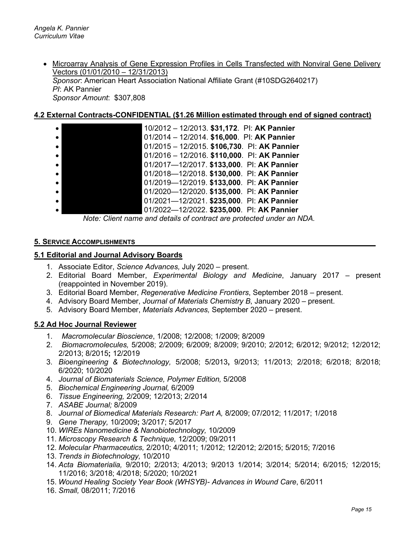• Microarray Analysis of Gene Expression Profiles in Cells Transfected with Nonviral Gene Delivery Vectors (01/01/2010 – 12/31/2013) *Sponsor*: American Heart Association National Affiliate Grant (#10SDG2640217) *PI*: AK Pannier *Sponsor Amount*: \$307,808

### **4.2 External Contracts-CONFIDENTIAL (\$1.26 Million estimated through end of signed contract)**

| $\bullet$ | 10/2012 - 12/2013. \$31,172. Pl: AK Pannier  |
|-----------|----------------------------------------------|
| $\bullet$ | 01/2014 - 12/2014. \$16,000. Pl: AK Pannier  |
| $\bullet$ | 01/2015 - 12/2015. \$106,730. Pl: AK Pannier |
| $\bullet$ | 01/2016 - 12/2016. \$110,000. Pl: AK Pannier |
| $\bullet$ | 01/2017-12/2017. \$133,000. Pl: AK Pannier   |
|           | 01/2018-12/2018. \$130,000. Pl: AK Pannier   |
| $\bullet$ | 01/2019-12/2019. \$133,000. Pl: AK Pannier   |
| $\bullet$ | 01/2020-12/2020. \$135,000. Pl: AK Pannier   |
|           | 01/2021-12/2021. \$235,000. Pl: AK Pannier   |
|           | 01/2022-12/2022. \$235,000. Pl: AK Pannier   |

*Note: Client name and details of contract are protected under an NDA.* 

#### **5. SERVICE ACCOMPLISHMENTS**

#### **5.1 Editorial and Journal Advisory Boards**

- 1. Associate Editor, *Science Advances,* July 2020 present.
- 2. Editorial Board Member, *Experimental Biology and Medicine*, January 2017 present (reappointed in November 2019).
- 3. Editorial Board Member, *Regenerative Medicine Frontiers*, September 2018 present.
- 4. Advisory Board Member, *Journal of Materials Chemistry B*, January 2020 present.
- 5. Advisory Board Member, *Materials Advances,* September 2020 present.

#### **5.2 Ad Hoc Journal Reviewer**

- 1. *Macromolecular Bioscience*, 1/2008; 12/2008; 1/2009; 8/2009
- 2. *Biomacromolecules,* 5/2008; 2/2009; 6/2009; 8/2009; 9/2010; 2/2012; 6/2012; 9/2012; 12/2012; 2/2013; 8/2015**;** 12/2019
- 3. *Bioengineering & Biotechnology,* 5/2008; 5/2013**,** 9/2013; 11/2013; 2/2018; 6/2018; 8/2018; 6/2020; 10/2020
- 4. *Journal of Biomaterials Science, Polymer Edition,* 5/2008
- 5. *Biochemical Engineering Journal,* 6/2009
- 6. *Tissue Engineering,* 2/2009; 12/2013; 2/2014
- 7. *ASABE Journal;* 8/2009
- 8. *Journal of Biomedical Materials Research: Part A,* 8/2009; 07/2012; 11/2017; 1/2018
- 9. *Gene Therapy,* 10/2009**;** 3/2017; 5/2017
- 10. *WIREs Nanomedicine & Nanobiotechnology,* 10/2009
- 11. *Microscopy Research & Technique,* 12/2009; 09/2011
- 12. *Molecular Pharmaceutics,* 2/2010; 4/2011; 1/2012; 12/2012; 2/2015; 5/2015; 7/2016
- 13. *Trends in Biotechnology,* 10/2010
- 14. *Acta Biomaterialia,* 9/2010; 2/2013; 4/2013; 9/2013 1/2014; 3/2014; 5/2014; 6/2015*;* 12/2015; 11/2016; 3/2018; 4/2018; 5/2020; 10/2021
- 15. *Wound Healing Society Year Book (WHSYB)- Advances in Wound Care*, 6/2011
- 16. *Small,* 08/2011; 7/2016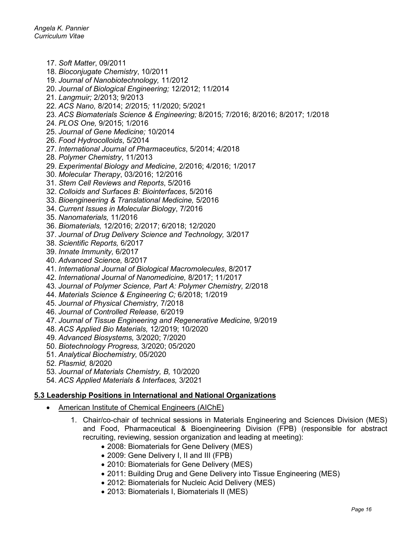- 17. *Soft Matter*, 09/2011
- 18. *Bioconjugate Chemistry*, 10/2011
- 19. *Journal of Nanobiotechnology,* 11/2012
- 20. *Journal of Biological Engineering;* 12/2012; 11/2014
- 21. *Langmuir;* 2/2013; 9/2013
- 22. *ACS Nano,* 8/2014; *2*/2015*;* 11/2020; 5/2021
- 23. *ACS Biomaterials Science & Engineering;* 8/2015*;* 7/2016; 8/2016; 8/2017; 1/2018
- 24. *PLOS One,* 9/2015; 1/2016
- 25. *Journal of Gene Medicine;* 10/2014
- 26. *Food Hydrocolloids*, 5/2014
- 27. *International Journal of Pharmaceutics*, 5/2014; 4/2018
- 28. *Polymer Chemistry*, 11/2013
- 29. *Experimental Biology and Medicine*, 2/2016; 4/2016; 1/2017
- 30. *Molecular Therapy*, 03/2016; 12/2016
- 31. *Stem Cell Reviews and Reports*, 5/2016
- 32. *Colloids and Surfaces B: Biointerfaces*, 5/2016
- 33. *Bioengineering & Translational Medicine,* 5/2016
- 34. *Current Issues in Molecular Biology*, 7/2016
- 35. *Nanomaterials,* 11/2016
- 36. *Biomaterials,* 12/2016; 2/2017; 6/2018; 12/2020
- 37. *Journal of Drug Delivery Science and Technology,* 3/2017
- 38. *Scientific Reports,* 6/2017
- 39. *Innate Immunity,* 6/2017
- 40. *Advanced Science,* 8/2017
- 41. *International Journal of Biological Macromolecules*, 8/2017
- 42. *International Journal of Nanomedicine,* 8/2017; 11/2017
- 43. *Journal of Polymer Science, Part A: Polymer Chemistry,* 2/2018
- 44. *Materials Science & Engineering C;* 6/2018; 1/2019
- 45. *Journal of Physical Chemistry,* 7/2018
- 46. *Journal of Controlled Release,* 6/2019
- 47. *Journal of Tissue Engineering and Regenerative Medicine,* 9/2019
- 48. *ACS Applied Bio Materials,* 12/2019; 10/2020
- 49. *Advanced Biosystems,* 3/2020; 7/2020
- 50. *Biotechnology Progress,* 3/2020; 05/2020
- 51. *Analytical Biochemistry,* 05/2020
- 52. *Plasmid,* 8/2020
- 53. *Journal of Materials Chemistry, B,* 10/2020
- 54. *ACS Applied Materials & Interfaces,* 3/2021

#### **5.3 Leadership Positions in International and National Organizations**

- American Institute of Chemical Engineers (AIChE)
	- 1. Chair/co-chair of technical sessions in Materials Engineering and Sciences Division (MES) and Food, Pharmaceutical & Bioengineering Division (FPB) (responsible for abstract recruiting, reviewing, session organization and leading at meeting):
		- 2008: Biomaterials for Gene Delivery (MES)
		- 2009: Gene Delivery I, II and III (FPB)
		- 2010: Biomaterials for Gene Delivery (MES)
		- 2011: Building Drug and Gene Delivery into Tissue Engineering (MES)
		- 2012: Biomaterials for Nucleic Acid Delivery (MES)
		- 2013: Biomaterials I, Biomaterials II (MES)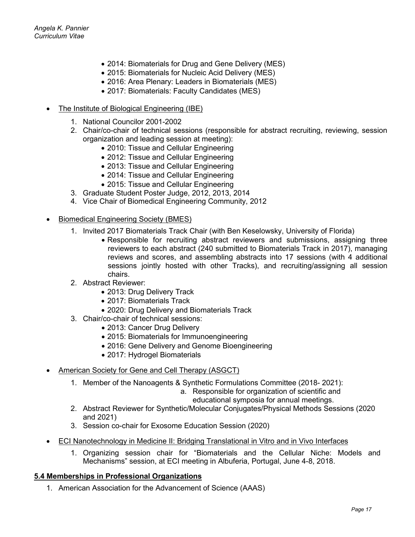- 2014: Biomaterials for Drug and Gene Delivery (MES)
- 2015: Biomaterials for Nucleic Acid Delivery (MES)
- 2016: Area Plenary: Leaders in Biomaterials (MES)
- 2017: Biomaterials: Faculty Candidates (MES)
- The Institute of Biological Engineering (IBE)
	- 1. National Councilor 2001-2002
	- 2. Chair/co-chair of technical sessions (responsible for abstract recruiting, reviewing, session organization and leading session at meeting):
		- 2010: Tissue and Cellular Engineering
		- 2012: Tissue and Cellular Engineering
		- 2013: Tissue and Cellular Engineering
		- 2014: Tissue and Cellular Engineering
		- 2015: Tissue and Cellular Engineering
	- 3. Graduate Student Poster Judge, 2012, 2013, 2014
	- 4. Vice Chair of Biomedical Engineering Community, 2012
- Biomedical Engineering Society (BMES)
	- 1. Invited 2017 Biomaterials Track Chair (with Ben Keselowsky, University of Florida)
		- Responsible for recruiting abstract reviewers and submissions, assigning three reviewers to each abstract (240 submitted to Biomaterials Track in 2017), managing reviews and scores, and assembling abstracts into 17 sessions (with 4 additional sessions jointly hosted with other Tracks), and recruiting/assigning all session chairs.
	- 2. Abstract Reviewer:
		- 2013: Drug Delivery Track
		- 2017: Biomaterials Track
		- 2020: Drug Delivery and Biomaterials Track
	- 3. Chair/co-chair of technical sessions:
		- 2013: Cancer Drug Delivery
		- 2015: Biomaterials for Immunoengineering
		- 2016: Gene Delivery and Genome Bioengineering
		- 2017: Hydrogel Biomaterials
- American Society for Gene and Cell Therapy (ASGCT)
	- 1. Member of the Nanoagents & Synthetic Formulations Committee (2018- 2021):
		- a. Responsible for organization of scientific and
			- educational symposia for annual meetings.
	- 2. Abstract Reviewer for Synthetic/Molecular Conjugates/Physical Methods Sessions (2020 and 2021)
	- 3. Session co-chair for Exosome Education Session (2020)
- ECI [Nanotechnology in Medicine II:](https://urldefense.proofpoint.com/v2/url?u=http-3A__www.engconf.org_past-2Dconferences_nanotechnology-2Din-2Dmedicine-2Dii-2Dbridging-2Dtranslational-2Din-2Dvitro-2Dand-2Din-2Dvivo-2Dinterfaces_&d=DwMFAg&c=Cu5g146wZdoqVuKpTNsYHeFX_rg6kWhlkLF8Eft-wwo&r=I1oIPEjmjzVInTce2QwTWLRCg2mdIakUIcPrk3Q8tZA&m=uZ_VsFAxuD2cRV1K3Myrt8Fwv8O4Ynr2bvSE32LOFvo&s=H3RO6P9so0lSyropNwiwq9mmlOr9YE56teWT5YEnQiw&e=) Bridging Translational in Vitro and in Vivo Interfaces
	- 1. Organizing session chair for "Biomaterials and the Cellular Niche: Models and Mechanisms" session, at ECI meeting in Albuferia, Portugal, June 4-8, 2018.

### **5.4 Memberships in Professional Organizations**

1. American Association for the Advancement of Science (AAAS)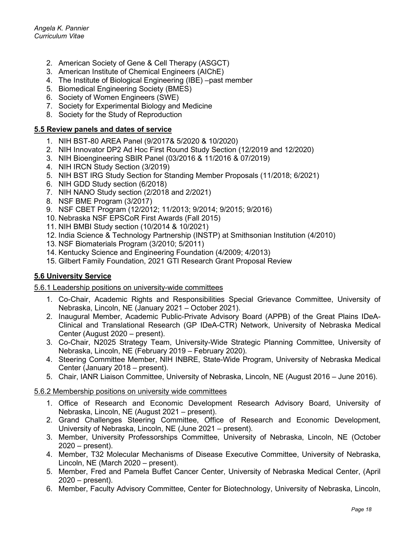- 2. American Society of Gene & Cell Therapy (ASGCT)
- 3. American Institute of Chemical Engineers (AIChE)
- 4. The Institute of Biological Engineering (IBE) –past member
- 5. Biomedical Engineering Society (BMES)
- 6. Society of Women Engineers (SWE)
- 7. Society for Experimental Biology and Medicine
- 8. Society for the Study of Reproduction

#### **5.5 Review panels and dates of service**

- 1. NIH BST-80 AREA Panel (9/2017& 5/2020 & 10/2020)
- 2. NIH Innovator DP2 Ad Hoc First Round Study Section (12/2019 and 12/2020)
- 3. NIH Bioengineering SBIR Panel (03/2016 & 11/2016 & 07/2019)
- 4. NIH IRCN Study Section (3/2019)
- 5. NIH BST IRG Study Section for Standing Member Proposals (11/2018; 6/2021)
- 6. NIH GDD Study section (6/2018)
- 7. NIH NANO Study section (2/2018 and 2/2021)
- 8. NSF BME Program (3/2017)
- 9. NSF CBET Program (12/2012; 11/2013; 9/2014; 9/2015; 9/2016)
- 10. Nebraska NSF EPSCoR First Awards (Fall 2015)
- 11. NIH BMBI Study section (10/2014 & 10/2021)
- 12. India Science & Technology Partnership (INSTP) at Smithsonian Institution (4/2010)
- 13. NSF Biomaterials Program (3/2010; 5/2011)
- 14. Kentucky Science and Engineering Foundation (4/2009; 4/2013)
- 15. Gilbert Family Foundation, 2021 GTI Research Grant Proposal Review

### **5.6 University Service**

5.6.1 Leadership positions on university-wide committees

- 1. Co-Chair, Academic Rights and Responsibilities Special Grievance Committee, University of Nebraska, Lincoln, NE (January 2021 – October 2021).
- 2. Inaugural Member, Academic Public-Private Advisory Board (APPB) of the Great Plains IDeA-Clinical and Translational Research (GP IDeA-CTR) Network, University of Nebraska Medical Center (August 2020 – present).
- 3. Co-Chair, N2025 Strategy Team, University-Wide Strategic Planning Committee, University of Nebraska, Lincoln, NE (February 2019 – February 2020).
- 4. Steering Committee Member, NIH INBRE, State-Wide Program, University of Nebraska Medical Center (January 2018 – present).
- 5. Chair, IANR Liaison Committee, University of Nebraska, Lincoln, NE (August 2016 June 2016).

#### 5.6.2 Membership positions on university wide committees

- 1. Office of Research and Economic Development Research Advisory Board, University of Nebraska, Lincoln, NE (August 2021 – present).
- 2. Grand Challenges Steering Committee, Office of Research and Economic Development, University of Nebraska, Lincoln, NE (June 2021 – present).
- 3. Member, University Professorships Committee, University of Nebraska, Lincoln, NE (October 2020 – present).
- 4. Member, T32 Molecular Mechanisms of Disease Executive Committee, University of Nebraska, Lincoln, NE (March 2020 – present).
- 5. Member, Fred and Pamela Buffet Cancer Center, University of Nebraska Medical Center, (April 2020 – present).
- 6. Member, Faculty Advisory Committee, Center for Biotechnology, University of Nebraska, Lincoln,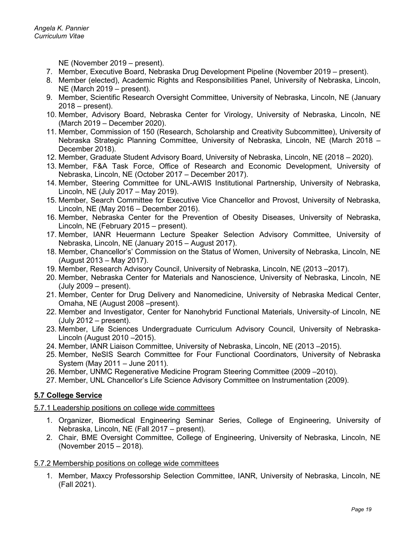NE (November 2019 – present).

- 7. Member, Executive Board, Nebraska Drug Development Pipeline (November 2019 present).
- 8. Member (elected), Academic Rights and Responsibilities Panel, University of Nebraska, Lincoln, NE (March 2019 – present).
- 9. Member, Scientific Research Oversight Committee, University of Nebraska, Lincoln, NE (January 2018 – present).
- 10. Member, Advisory Board, Nebraska Center for Virology, University of Nebraska, Lincoln, NE (March 2019 – December 2020).
- 11. Member, Commission of 150 (Research, Scholarship and Creativity Subcommittee), University of Nebraska Strategic Planning Committee, University of Nebraska, Lincoln, NE (March 2018 – December 2018).
- 12. Member, Graduate Student Advisory Board, University of Nebraska, Lincoln, NE (2018 2020).
- 13. Member, F&A Task Force, Office of Research and Economic Development, University of Nebraska, Lincoln, NE (October 2017 – December 2017).
- 14. Member, Steering Committee for UNL-AWIS Institutional Partnership, University of Nebraska, Lincoln, NE (July 2017 – May 2019).
- 15. Member, Search Committee for Executive Vice Chancellor and Provost, University of Nebraska, Lincoln, NE (May 2016 – December 2016).
- 16. Member, Nebraska Center for the Prevention of Obesity Diseases, University of Nebraska, Lincoln, NE (February 2015 – present).
- 17. Member, IANR Heuermann Lecture Speaker Selection Advisory Committee, University of Nebraska, Lincoln, NE (January 2015 – August 2017).
- 18. Member, Chancellor's' Commission on the Status of Women, University of Nebraska, Lincoln, NE (August 2013 – May 2017).
- 19. Member, Research Advisory Council, University of Nebraska, Lincoln, NE (2013 –2017).
- 20. Member, Nebraska Center for Materials and Nanoscience, University of Nebraska, Lincoln, NE (July 2009 – present).
- 21. Member, Center for Drug Delivery and Nanomedicine, University of Nebraska Medical Center, Omaha, NE (August 2008 –present).
- 22. Member and Investigator, Center for Nanohybrid Functional Materials, University-of Lincoln, NE (July 2012 – present).
- 23. Member, Life Sciences Undergraduate Curriculum Advisory Council, University of Nebraska-Lincoln (August 2010 –2015).
- 24. Member, IANR Liaison Committee, University of Nebraska, Lincoln, NE (2013 –2015).
- 25. Member, NeSIS Search Committee for Four Functional Coordinators, University of Nebraska System (May 2011 – June 2011).
- 26. Member, UNMC Regenerative Medicine Program Steering Committee (2009 –2010).
- 27. Member, UNL Chancellor's Life Science Advisory Committee on Instrumentation (2009).

### **5.7 College Service**

### 5.7.1 Leadership positions on college wide committees

- 1. Organizer, Biomedical Engineering Seminar Series, College of Engineering, University of Nebraska, Lincoln, NE (Fall 2017 – present).
- 2. Chair, BME Oversight Committee, College of Engineering, University of Nebraska, Lincoln, NE (November 2015 – 2018).

### 5.7.2 Membership positions on college wide committees

1. Member, Maxcy Professorship Selection Committee, IANR, University of Nebraska, Lincoln, NE (Fall 2021).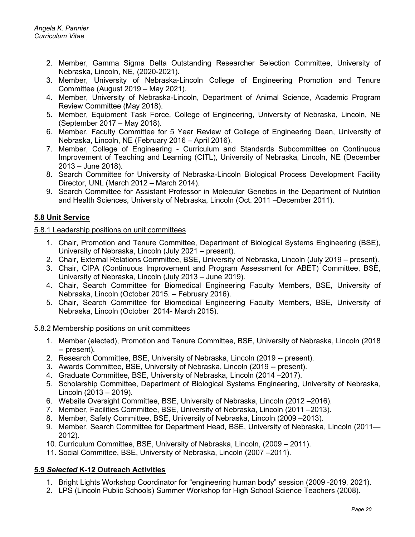- 2. Member, Gamma Sigma Delta Outstanding Researcher Selection Committee, University of Nebraska, Lincoln, NE, (2020-2021).
- 3. Member, University of Nebraska-Lincoln College of Engineering Promotion and Tenure Committee (August 2019 – May 2021).
- 4. Member, University of Nebraska-Lincoln, Department of Animal Science, Academic Program Review Committee (May 2018).
- 5. Member, Equipment Task Force, College of Engineering, University of Nebraska, Lincoln, NE (September 2017 – May 2018).
- 6. Member, Faculty Committee for 5 Year Review of College of Engineering Dean, University of Nebraska, Lincoln, NE (February 2016 – April 2016).
- 7. Member, College of Engineering Curriculum and Standards Subcommittee on Continuous Improvement of Teaching and Learning (CITL), University of Nebraska, Lincoln, NE (December 2013 – June 2018).
- 8. Search Committee for University of Nebraska-Lincoln Biological Process Development Facility Director, UNL (March 2012 – March 2014).
- 9. Search Committee for Assistant Professor in Molecular Genetics in the Department of Nutrition and Health Sciences, University of Nebraska, Lincoln (Oct. 2011 –December 2011).

### **5.8 Unit Service**

### 5.8.1 Leadership positions on unit committees

- 1. Chair, Promotion and Tenure Committee, Department of Biological Systems Engineering (BSE), University of Nebraska, Lincoln (July 2021 – present).
- 2. Chair, External Relations Committee, BSE, University of Nebraska, Lincoln (July 2019 present).
- 3. Chair, CIPA (Continuous Improvement and Program Assessment for ABET) Committee, BSE, University of Nebraska, Lincoln (July 2013 – June 2019).
- 4. Chair, Search Committee for Biomedical Engineering Faculty Members, BSE, University of Nebraska, Lincoln (October 2015. – February 2016).
- 5. Chair, Search Committee for Biomedical Engineering Faculty Members, BSE, University of Nebraska, Lincoln (October 2014- March 2015).

#### 5.8.2 Membership positions on unit committees

- 1. Member (elected), Promotion and Tenure Committee, BSE, University of Nebraska, Lincoln (2018 -- present).
- 2. Research Committee, BSE, University of Nebraska, Lincoln (2019 -- present).
- 3. Awards Committee, BSE, University of Nebraska, Lincoln (2019 -- present).
- 4. Graduate Committee, BSE, University of Nebraska, Lincoln (2014 –2017).
- 5. Scholarship Committee, Department of Biological Systems Engineering, University of Nebraska, Lincoln (2013 – 2019).
- 6. Website Oversight Committee, BSE, University of Nebraska, Lincoln (2012 –2016).
- 7. Member, Facilities Committee, BSE, University of Nebraska, Lincoln (2011 –2013).
- 8. Member, Safety Committee, BSE, University of Nebraska, Lincoln (2009 –2013).
- 9. Member, Search Committee for Department Head, BSE, University of Nebraska, Lincoln (2011— 2012).
- 10. Curriculum Committee, BSE, University of Nebraska, Lincoln, (2009 2011).
- 11. Social Committee, BSE, University of Nebraska, Lincoln (2007 –2011).

### **5.9** *Selected* **K-12 Outreach Activities**

- 1. Bright Lights Workshop Coordinator for "engineering human body" session (2009 -2019, 2021).
- 2. LPS (Lincoln Public Schools) Summer Workshop for High School Science Teachers (2008).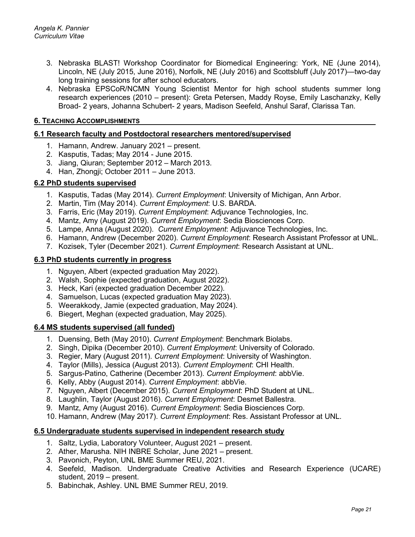- 3. Nebraska BLAST! Workshop Coordinator for Biomedical Engineering: York, NE (June 2014), Lincoln, NE (July 2015, June 2016), Norfolk, NE (July 2016) and Scottsbluff (July 2017)—two-day long training sessions for after school educators.
- 4. Nebraska EPSCoR/NCMN Young Scientist Mentor for high school students summer long research experiences (2010 – present): Greta Petersen, Maddy Royse, Emily Laschanzky, Kelly Broad- 2 years, Johanna Schubert- 2 years, Madison Seefeld, Anshul Saraf, Clarissa Tan.

#### **6. TEACHING ACCOMPLISHMENTS**

#### **6.1 Research faculty and Postdoctoral researchers mentored/supervised**

- 1. Hamann, Andrew. January 2021 present.
- 2. Kasputis, Tadas; May 2014 June 2015.
- 3. Jiang, Qiuran; September 2012 March 2013.
- 4. Han, Zhongji; October 2011 June 2013.

### **6.2 PhD students supervised**

- 1. Kasputis, Tadas (May 2014). *Current Employment*: University of Michigan, Ann Arbor.
- 2. Martin, Tim (May 2014). *Current Employment*: U.S. BARDA.
- 3. Farris, Eric (May 2019). *Current Employment*: Adjuvance Technologies, Inc.
- 4. Mantz, Amy (August 2019). *Current Employment*: Sedia Biosciences Corp.
- 5. Lampe, Anna (August 2020). *Current Employment*: Adjuvance Technologies, Inc.
- 6. Hamann, Andrew (December 2020). *Current Employment*: Research Assistant Professor at UNL.
- 7. Kozisek, Tyler (December 2021). *Current Employment*: Research Assistant at UNL.

#### **6.3 PhD students currently in progress**

- 1. Nguyen, Albert (expected graduation May 2022).
- 2. Walsh, Sophie (expected graduation, August 2022).
- 3. Heck, Kari (expected graduation December 2022).
- 4. Samuelson, Lucas (expected graduation May 2023).
- 5. Weerakkody, Jamie (expected graduation, May 2024).
- 6. Biegert, Meghan (expected graduation, May 2025).

#### **6.4 MS students supervised (all funded)**

- 1. Duensing, Beth (May 2010). *Current Employment*: Benchmark Biolabs.
- 2. Singh, Dipika (December 2010). *Current Employment*: University of Colorado.
- 3. Regier, Mary (August 2011). *Current Employment*: University of Washington.
- 4. Taylor (Mills), Jessica (August 2013). *Current Employment*: CHI Health.
- 5. Sargus-Patino, Catherine (December 2013). *Current Employment*: abbVie.
- 6. Kelly, Abby (August 2014). *Current Employment*: abbVie.
- 7. Nguyen, Albert (December 2015). *Current Employment*: PhD Student at UNL.
- 8. Laughlin, Taylor (August 2016). *Current Employment*: Desmet Ballestra.
- 9. Mantz, Amy (August 2016). *Current Employment*: Sedia Biosciences Corp.
- 10. Hamann, Andrew (May 2017). *Current Employment*: Res. Assistant Professor at UNL.

#### **6.5 Undergraduate students supervised in independent research study**

- 1. Saltz, Lydia, Laboratory Volunteer, August 2021 present.
- 2. Ather, Marusha. NIH INBRE Scholar, June 2021 present.
- 3. Pavonich, Peyton, UNL BME Summer REU, 2021.
- 4. Seefeld, Madison. Undergraduate Creative Activities and Research Experience (UCARE) student, 2019 – present.
- 5. Babinchak, Ashley. UNL BME Summer REU, 2019.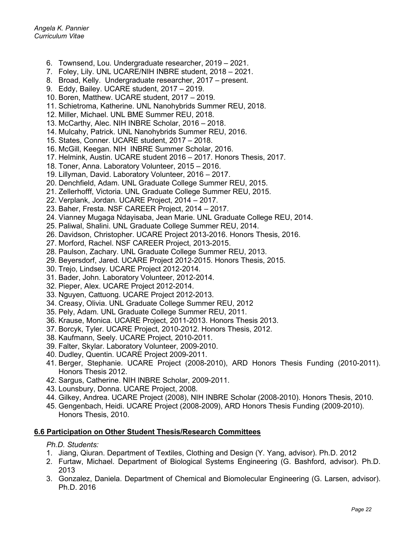- 6. Townsend, Lou. Undergraduate researcher, 2019 2021.
- 7. Foley, Lily. UNL UCARE/NIH INBRE student, 2018 2021.
- 8. Broad, Kelly. Undergraduate researcher, 2017 present.
- 9. Eddy, Bailey. UCARE student, 2017 2019.
- 10. Boren, Matthew. UCARE student, 2017 2019.
- 11. Schietroma, Katherine. UNL Nanohybrids Summer REU, 2018.
- 12. Miller, Michael. UNL BME Summer REU, 2018.
- 13. McCarthy, Alec. NIH INBRE Scholar, 2016 2018.
- 14. Mulcahy, Patrick. UNL Nanohybrids Summer REU, 2016.
- 15. States, Conner. UCARE student, 2017 2018.
- 16. McGill, Keegan. NIH INBRE Summer Scholar, 2016.
- 17. Helmink, Austin. UCARE student 2016 2017. Honors Thesis, 2017.
- 18. Toner, Anna. Laboratory Volunteer, 2015 2016.
- 19. Lillyman, David. Laboratory Volunteer, 2016 2017.
- 20. Denchfield, Adam. UNL Graduate College Summer REU, 2015.
- 21. Zellerhofff, Victoria. UNL Graduate College Summer REU, 2015.
- 22. Verplank, Jordan. UCARE Project, 2014 2017.
- 23. Baher, Fresta. NSF CAREER Project, 2014 2017.
- 24. Vianney Mugaga Ndayisaba, Jean Marie. UNL Graduate College REU, 2014.
- 25. Paliwal, Shalini. UNL Graduate College Summer REU, 2014.
- 26. Davidson, Christopher. UCARE Project 2013-2016. Honors Thesis, 2016.
- 27. Morford, Rachel. NSF CAREER Project, 2013-2015.
- 28. Paulson, Zachary. UNL Graduate College Summer REU, 2013.
- 29. Beyersdorf, Jared. UCARE Project 2012-2015. Honors Thesis, 2015.
- 30. Trejo, Lindsey. UCARE Project 2012-2014.
- 31. Bader, John. Laboratory Volunteer, 2012-2014.
- 32. Pieper, Alex. UCARE Project 2012-2014.
- 33. Nguyen, Cattuong. UCARE Project 2012-2013.
- 34. Creasy, Olivia. UNL Graduate College Summer REU, 2012
- 35. Pely, Adam. UNL Graduate College Summer REU, 2011.
- 36. Krause, Monica. UCARE Project, 2011-2013. Honors Thesis 2013.
- 37. Borcyk, Tyler. UCARE Project, 2010-2012. Honors Thesis, 2012.
- 38. Kaufmann, Seely. UCARE Project, 2010-2011.
- 39. Falter, Skylar. Laboratory Volunteer, 2009-2010.
- 40. Dudley, Quentin. UCARE Project 2009-2011.
- 41. Berger, Stephanie. UCARE Project (2008-2010), ARD Honors Thesis Funding (2010-2011). Honors Thesis 2012.
- 42. Sargus, Catherine. NIH INBRE Scholar, 2009-2011.
- 43. Lounsbury, Donna. UCARE Project, 2008.
- 44. Gilkey, Andrea. UCARE Project (2008), NIH INBRE Scholar (2008-2010). Honors Thesis, 2010.
- 45. Gengenbach, Heidi. UCARE Project (2008-2009), ARD Honors Thesis Funding (2009-2010). Honors Thesis, 2010.

#### **6.6 Participation on Other Student Thesis/Research Committees**

#### *Ph.D. Students:*

- 1. Jiang, Qiuran. Department of Textiles, Clothing and Design (Y. Yang, advisor). Ph.D. 2012
- 2. Furtaw, Michael. Department of Biological Systems Engineering (G. Bashford, advisor). Ph.D. 2013
- 3. Gonzalez, Daniela. Department of Chemical and Biomolecular Engineering (G. Larsen, advisor). Ph.D. 2016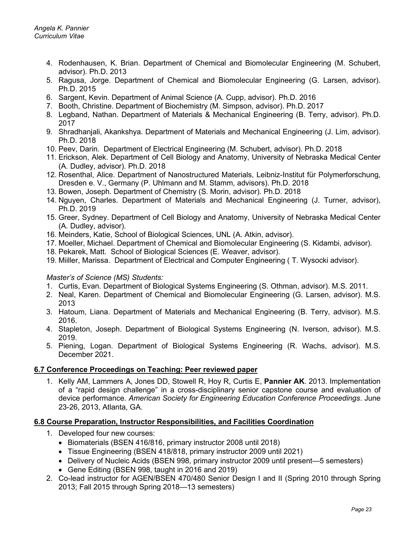- 4. Rodenhausen, K. Brian. Department of Chemical and Biomolecular Engineering (M. Schubert, advisor). Ph.D. 2013
- 5. Ragusa, Jorge. Department of Chemical and Biomolecular Engineering (G. Larsen, advisor). Ph.D. 2015
- 6. Sargent, Kevin. Department of Animal Science (A. Cupp, advisor). Ph.D. 2016
- 7. Booth, Christine. Department of Biochemistry (M. Simpson, advisor). Ph.D. 2017
- 8. Legband, Nathan. Department of Materials & Mechanical Engineering (B. Terry, advisor). Ph.D. 2017
- 9. Shradhanjali, Akankshya. Department of Materials and Mechanical Engineering (J. Lim, advisor). Ph.D. 2018
- 10. Peev, Darin. Department of Electrical Engineering (M. Schubert, advisor). Ph.D. 2018
- 11. Erickson, Alek. Department of Cell Biology and Anatomy, University of Nebraska Medical Center (A. Dudley, advisor). Ph.D. 2018
- 12. Rosenthal, Alice. Department of Nanostructured Materials, Leibniz-Institut für Polymerforschung, Dresden e. V., Germany (P. Uhlmann and M. Stamm, advisors). Ph.D. 2018
- 13. Bowen, Joseph. Department of Chemistry (S. Morin, advisor). Ph.D. 2018
- 14. Nguyen, Charles. Department of Materials and Mechanical Engineering (J. Turner, advisor), Ph.D. 2019
- 15. Greer, Sydney. Department of Cell Biology and Anatomy, University of Nebraska Medical Center (A. Dudley, advisor).
- 16. Meinders, Katie, School of Biological Sciences, UNL (A. Atkin, advisor).
- 17. Moeller, Michael. Department of Chemical and Biomolecular Engineering (S. Kidambi, advisor).
- 18. Pekarek, Matt. School of Biological Sciences (E. Weaver, advisor).
- 19. Miiller, Marissa. Department of Electrical and Computer Engineering ( T. Wysocki advisor).

#### *Master's of Science (MS) Students:*

- 1. Curtis, Evan. Department of Biological Systems Engineering (S. Othman, advisor). M.S. 2011.
- 2. Neal, Karen. Department of Chemical and Biomolecular Engineering (G. Larsen, advisor). M.S. 2013
- 3. Hatoum, Liana. Department of Materials and Mechanical Engineering (B. Terry, advisor). M.S. 2016.
- 4. Stapleton, Joseph. Department of Biological Systems Engineering (N. Iverson, advisor). M.S. 2019.
- 5. Piening, Logan. Department of Biological Systems Engineering (R. Wachs, advisor). M.S. December 2021.

#### **6.7 Conference Proceedings on Teaching: Peer reviewed paper**

1. Kelly AM, Lammers A, Jones DD, Stowell R, Hoy R, Curtis E, **Pannier AK**. 2013. Implementation of a "rapid design challenge" in a cross-disciplinary senior capstone course and evaluation of device performance. *American Society for Engineering Education Conference Proceedings*. June 23-26, 2013, Atlanta, GA.

#### **6.8 Course Preparation, Instructor Responsibilities, and Facilities Coordination**

- 1. Developed four new courses:
	- Biomaterials (BSEN 416/816, primary instructor 2008 until 2018)
	- Tissue Engineering (BSEN 418/818, primary instructor 2009 until 2021)
	- Delivery of Nucleic Acids (BSEN 998, primary instructor 2009 until present—5 semesters)
	- Gene Editing (BSEN 998, taught in 2016 and 2019)
- 2. Co-lead instructor for AGEN/BSEN 470/480 Senior Design I and II (Spring 2010 through Spring 2013; Fall 2015 through Spring 2018—13 semesters)